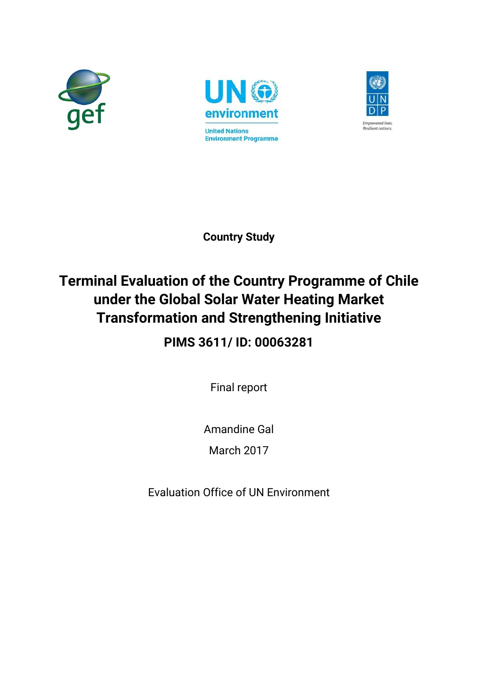





**Country Study**

# **Terminal Evaluation of the Country Programme of Chile under the Global Solar Water Heating Market Transformation and Strengthening Initiative**

**PIMS 3611/ ID: 00063281**

Final report

Amandine Gal

March 2017

Evaluation Office of UN Environment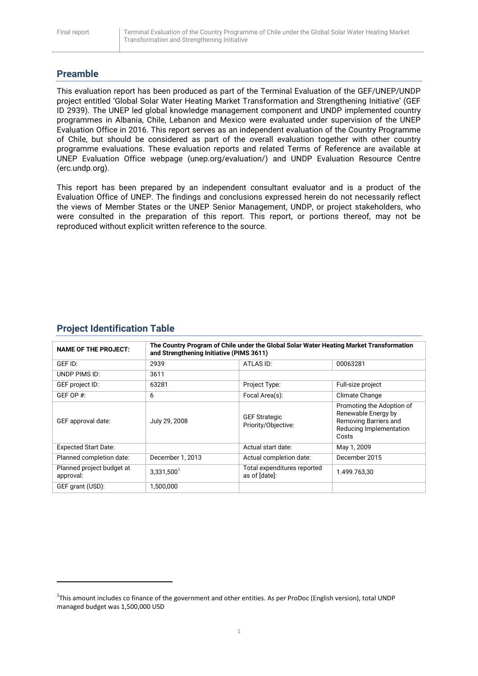## **Preamble**

This evaluation report has been produced as part of the Terminal Evaluation of the GEF/UNEP/UNDP project entitled 'Global Solar Water Heating Market Transformation and Strengthening Initiative' (GEF ID 2939). The UNEP led global knowledge management component and UNDP implemented country programmes in Albania, Chile, Lebanon and Mexico were evaluated under supervision of the UNEP Evaluation Office in 2016. This report serves as an independent evaluation of the Country Programme of Chile, but should be considered as part of the overall evaluation together with other country programme evaluations. These evaluation reports and related Terms of Reference are available at UNEP Evaluation Office webpage (unep.org/evaluation/) and UNDP Evaluation Resource Centre (erc.undp.org).

This report has been prepared by an independent consultant evaluator and is a product of the Evaluation Office of UNEP. The findings and conclusions expressed herein do not necessarily reflect the views of Member States or the UNEP Senior Management, UNDP, or project stakeholders, who were consulted in the preparation of this report. This report, or portions thereof, may not be reproduced without explicit written reference to the source.

## **Project Identification Table**

**.** 

| <b>NAME OF THE PROJECT:</b>            | The Country Program of Chile under the Global Solar Water Heating Market Transformation<br>and Strengthening Initiative (PIMS 3611) |                                              |                                                                                                               |
|----------------------------------------|-------------------------------------------------------------------------------------------------------------------------------------|----------------------------------------------|---------------------------------------------------------------------------------------------------------------|
| GEF ID:                                | 2939                                                                                                                                | ATLAS ID:                                    | 00063281                                                                                                      |
| UNDP PIMS ID:                          | 3611                                                                                                                                |                                              |                                                                                                               |
| GEF project ID:                        | 63281                                                                                                                               | Project Type:                                | Full-size project                                                                                             |
| GEF OP #:                              | 6                                                                                                                                   | Focal Area(s):                               | Climate Change                                                                                                |
| GEF approval date:                     | July 29, 2008                                                                                                                       | <b>GEF Strategic</b><br>Priority/Objective:  | Promoting the Adoption of<br>Renewable Energy by<br>Removing Barriers and<br>Reducing Implementation<br>Costs |
| <b>Expected Start Date:</b>            |                                                                                                                                     | Actual start date:                           | May 1, 2009                                                                                                   |
| Planned completion date:               | December 1, 2013                                                                                                                    | Actual completion date:                      | December 2015                                                                                                 |
| Planned project budget at<br>approval: | $3,331,500^1$                                                                                                                       | Total expenditures reported<br>as of [date]: | 1.499.763.30                                                                                                  |
| GEF grant (USD):                       | 1,500,000                                                                                                                           |                                              |                                                                                                               |

<sup>&</sup>lt;sup>1</sup>This amount includes co finance of the government and other entities. As per ProDoc (English version), total UNDP managed budget was 1,500,000 USD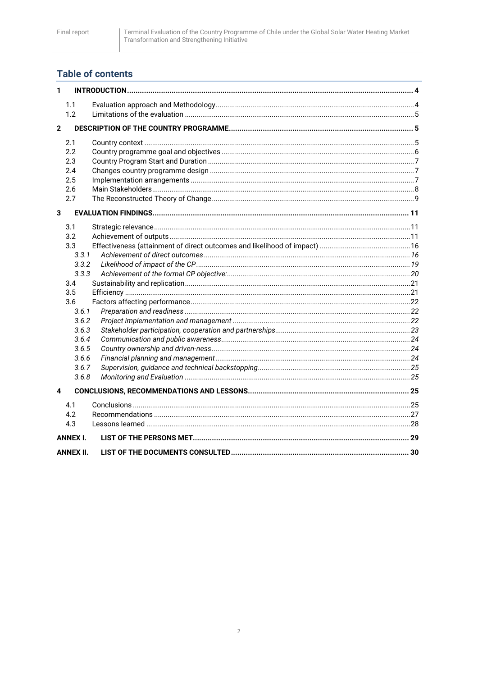# **Table of contents**

| 1            |                 |  |
|--------------|-----------------|--|
|              | 1.1             |  |
|              | 1.2             |  |
| $\mathbf{2}$ |                 |  |
|              | 2.1             |  |
|              | 2.2             |  |
|              | 2.3             |  |
|              | 2.4             |  |
|              | 2.5             |  |
|              | 2.6             |  |
|              | 2.7             |  |
| 3            |                 |  |
|              | 3.1             |  |
|              | 3.2             |  |
|              | 3.3             |  |
|              | 3.3.1           |  |
|              | 3.3.2           |  |
|              | 3.3.3           |  |
|              | 3.4             |  |
|              | 3.5             |  |
|              | 3.6             |  |
|              | 3.6.1           |  |
|              | 3.6.2           |  |
|              | 3.6.3           |  |
|              | 3.6.4           |  |
|              | 3.6.5           |  |
|              | 3.6.6           |  |
|              | 3.6.7           |  |
|              | 3.6.8           |  |
| 4            |                 |  |
|              | 4.1             |  |
|              | 4.2             |  |
|              | 4.3             |  |
|              | <b>ANNEX I.</b> |  |
|              | ANNEX II.       |  |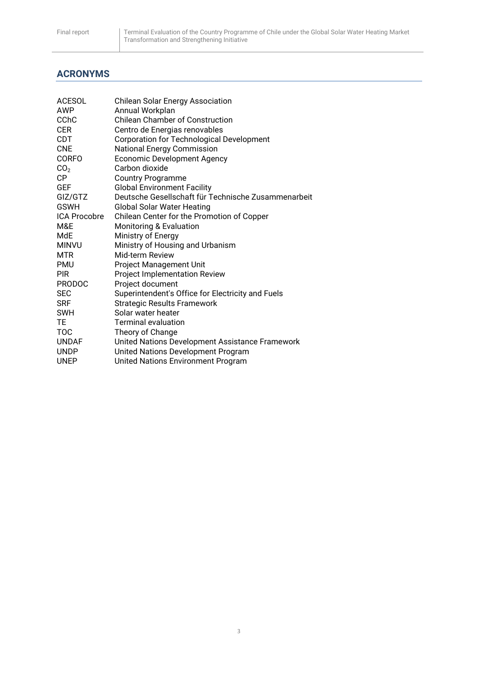## **ACRONYMS**

| <b>Chilean Solar Energy Association</b>             |
|-----------------------------------------------------|
| Annual Workplan                                     |
| <b>Chilean Chamber of Construction</b>              |
| Centro de Energias renovables                       |
| Corporation for Technological Development           |
| <b>National Energy Commission</b>                   |
| <b>Economic Development Agency</b>                  |
| Carbon dioxide                                      |
| <b>Country Programme</b>                            |
| <b>Global Environment Facility</b>                  |
| Deutsche Gesellschaft für Technische Zusammenarbeit |
| <b>Global Solar Water Heating</b>                   |
| Chilean Center for the Promotion of Copper          |
| <b>Monitoring &amp; Evaluation</b>                  |
| Ministry of Energy                                  |
| Ministry of Housing and Urbanism                    |
| Mid-term Review                                     |
| Project Management Unit                             |
| <b>Project Implementation Review</b>                |
| Project document                                    |
| Superintendent's Office for Electricity and Fuels   |
| <b>Strategic Results Framework</b>                  |
| Solar water heater                                  |
| <b>Terminal evaluation</b>                          |
| Theory of Change                                    |
| United Nations Development Assistance Framework     |
| United Nations Development Program                  |
| United Nations Environment Program                  |
|                                                     |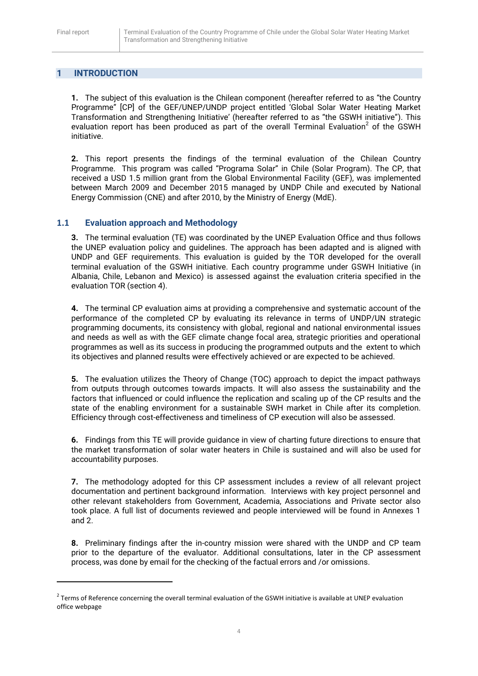**.** 

## <span id="page-4-0"></span>**1 INTRODUCTION**

**1.** The subject of this evaluation is the Chilean component (hereafter referred to as "the Country Programme" [CP] of the GEF/UNEP/UNDP project entitled 'Global Solar Water Heating Market Transformation and Strengthening Initiative' (hereafter referred to as "the GSWH initiative"). This evaluation report has been produced as part of the overall Terminal Evaluation<sup>2</sup> of the GSWH initiative.

**2.** This report presents the findings of the terminal evaluation of the Chilean Country Programme. This program was called "Programa Solar" in Chile (Solar Program). The CP, that received a USD 1.5 million grant from the Global Environmental Facility (GEF), was implemented between March 2009 and December 2015 managed by UNDP Chile and executed by National Energy Commission (CNE) and after 2010, by the Ministry of Energy (MdE).

## <span id="page-4-1"></span>**1.1 Evaluation approach and Methodology**

**3.** The terminal evaluation (TE) was coordinated by the UNEP Evaluation Office and thus follows the UNEP evaluation policy and guidelines. The approach has been adapted and is aligned with UNDP and GEF requirements. This evaluation is guided by the TOR developed for the overall terminal evaluation of the GSWH initiative. Each country programme under GSWH Initiative (in Albania, Chile, Lebanon and Mexico) is assessed against the evaluation criteria specified in the evaluation TOR (section 4).

**4.** The terminal CP evaluation aims at providing a comprehensive and systematic account of the performance of the completed CP by evaluating its relevance in terms of UNDP/UN strategic programming documents, its consistency with global, regional and national environmental issues and needs as well as with the GEF climate change focal area, strategic priorities and operational programmes as well as its success in producing the programmed outputs and the extent to which its objectives and planned results were effectively achieved or are expected to be achieved.

**5.** The evaluation utilizes the Theory of Change (TOC) approach to depict the impact pathways from outputs through outcomes towards impacts. It will also assess the sustainability and the factors that influenced or could influence the replication and scaling up of the CP results and the state of the enabling environment for a sustainable SWH market in Chile after its completion. Efficiency through cost-effectiveness and timeliness of CP execution will also be assessed.

**6.** Findings from this TE will provide guidance in view of charting future directions to ensure that the market transformation of solar water heaters in Chile is sustained and will also be used for accountability purposes.

**7.** The methodology adopted for this CP assessment includes a review of all relevant project documentation and pertinent background information. Interviews with key project personnel and other relevant stakeholders from Government, Academia, Associations and Private sector also took place. A full list of documents reviewed and people interviewed will be found in Annexes 1 and 2.

**8.** Preliminary findings after the in-country mission were shared with the UNDP and CP team prior to the departure of the evaluator. Additional consultations, later in the CP assessment process, was done by email for the checking of the factual errors and /or omissions.

 $2$  Terms of Reference concerning the overall terminal evaluation of the GSWH initiative is available at UNEP evaluation office webpage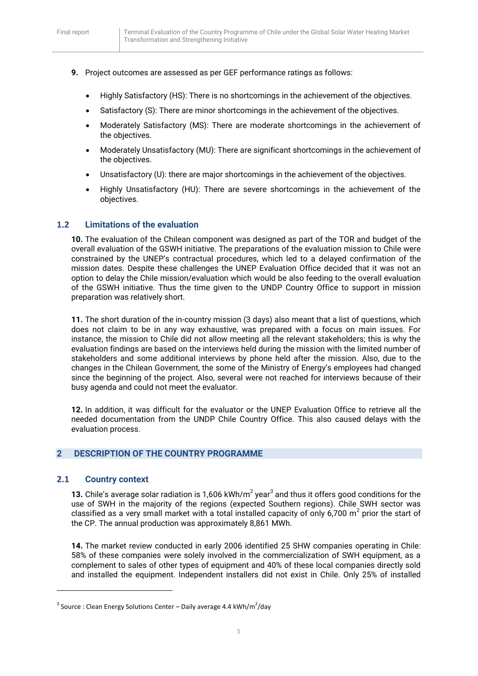- **9.** Project outcomes are assessed as per GEF performance ratings as follows:
	- Highly Satisfactory (HS): There is no shortcomings in the achievement of the objectives.
	- Satisfactory (S): There are minor shortcomings in the achievement of the objectives.
	- Moderately Satisfactory (MS): There are moderate shortcomings in the achievement of the objectives.
	- Moderately Unsatisfactory (MU): There are significant shortcomings in the achievement of the objectives.
	- Unsatisfactory (U): there are major shortcomings in the achievement of the objectives.
	- Highly Unsatisfactory (HU): There are severe shortcomings in the achievement of the objectives.

## <span id="page-5-0"></span>**1.2 Limitations of the evaluation**

**10.** The evaluation of the Chilean component was designed as part of the TOR and budget of the overall evaluation of the GSWH initiative. The preparations of the evaluation mission to Chile were constrained by the UNEP's contractual procedures, which led to a delayed confirmation of the mission dates. Despite these challenges the UNEP Evaluation Office decided that it was not an option to delay the Chile mission/evaluation which would be also feeding to the overall evaluation of the GSWH initiative. Thus the time given to the UNDP Country Office to support in mission preparation was relatively short.

**11.** The short duration of the in-country mission (3 days) also meant that a list of questions, which does not claim to be in any way exhaustive, was prepared with a focus on main issues. For instance, the mission to Chile did not allow meeting all the relevant stakeholders; this is why the evaluation findings are based on the interviews held during the mission with the limited number of stakeholders and some additional interviews by phone held after the mission. Also, due to the changes in the Chilean Government, the some of the Ministry of Energy's employees had changed since the beginning of the project. Also, several were not reached for interviews because of their busy agenda and could not meet the evaluator.

**12.** In addition, it was difficult for the evaluator or the UNEP Evaluation Office to retrieve all the needed documentation from the UNDP Chile Country Office. This also caused delays with the evaluation process.

## <span id="page-5-1"></span>**2 DESCRIPTION OF THE COUNTRY PROGRAMME**

#### <span id="page-5-2"></span>**2.1 Country context**

1

**13.** Chile's average solar radiation is 1,606 kWh/m<sup>2</sup> year<sup>3</sup> and thus it offers good conditions for the use of SWH in the majority of the regions (expected Southern regions). Chile SWH sector was classified as a very small market with a total installed capacity of only 6,700 m<sup>2</sup> prior the start of the CP. The annual production was approximately 8,861 MWh.

**14.** The market review conducted in early 2006 identified 25 SHW companies operating in Chile: 58% of these companies were solely involved in the commercialization of SWH equipment, as a complement to sales of other types of equipment and 40% of these local companies directly sold and installed the equipment. Independent installers did not exist in Chile. Only 25% of installed

<sup>&</sup>lt;sup>3</sup> Source : Clean Energy Solutions Center – Daily average 4.4 kWh/m<sup>2</sup>/day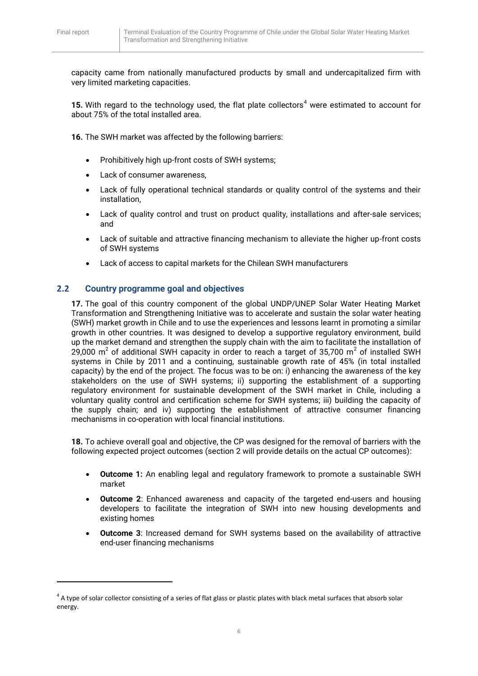**.** 

capacity came from nationally manufactured products by small and undercapitalized firm with very limited marketing capacities.

**15.** With regard to the technology used, the flat plate collectors<sup>4</sup> were estimated to account for about 75% of the total installed area.

**16.** The SWH market was affected by the following barriers:

- Prohibitively high up-front costs of SWH systems:
- Lack of consumer awareness,
- Lack of fully operational technical standards or quality control of the systems and their installation,
- Lack of quality control and trust on product quality, installations and after-sale services; and
- Lack of suitable and attractive financing mechanism to alleviate the higher up-front costs of SWH systems
- Lack of access to capital markets for the Chilean SWH manufacturers

## <span id="page-6-0"></span>**2.2 Country programme goal and objectives**

**17.** The goal of this country component of the global UNDP/UNEP Solar Water Heating Market Transformation and Strengthening Initiative was to accelerate and sustain the solar water heating (SWH) market growth in Chile and to use the experiences and lessons learnt in promoting a similar growth in other countries. It was designed to develop a supportive regulatory environment, build up the market demand and strengthen the supply chain with the aim to facilitate the installation of 29,000 m<sup>2</sup> of additional SWH capacity in order to reach a target of 35,700 m<sup>2</sup> of installed SWH systems in Chile by 2011 and a continuing, sustainable growth rate of 45% (in total installed capacity) by the end of the project. The focus was to be on: i) enhancing the awareness of the key stakeholders on the use of SWH systems; ii) supporting the establishment of a supporting regulatory environment for sustainable development of the SWH market in Chile, including a voluntary quality control and certification scheme for SWH systems; iii) building the capacity of the supply chain; and iv) supporting the establishment of attractive consumer financing mechanisms in co-operation with local financial institutions.

**18.** To achieve overall goal and objective, the CP was designed for the removal of barriers with the following expected project outcomes (section 2 will provide details on the actual CP outcomes):

- **Outcome 1:** An enabling legal and regulatory framework to promote a sustainable SWH market
- **Outcome 2**: Enhanced awareness and capacity of the targeted end-users and housing developers to facilitate the integration of SWH into new housing developments and existing homes
- **Outcome 3**: Increased demand for SWH systems based on the availability of attractive end-user financing mechanisms

 $^4$  A type of solar collector consisting of a series of flat glass or plastic plates with black metal surfaces that absorb solar energy.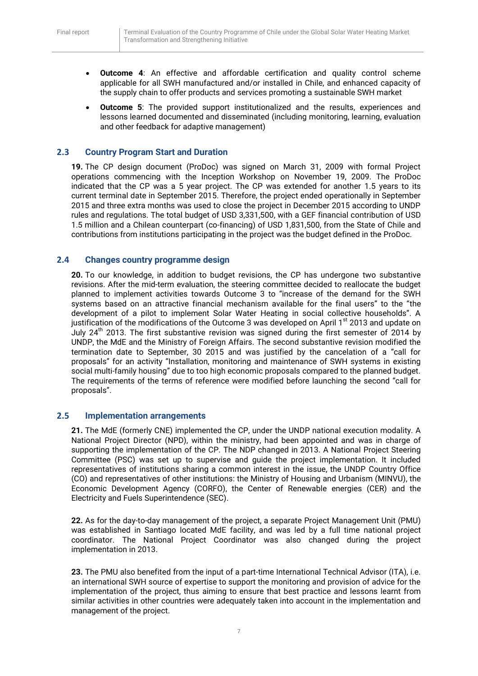- **Outcome 4**: An effective and affordable certification and quality control scheme applicable for all SWH manufactured and/or installed in Chile, and enhanced capacity of the supply chain to offer products and services promoting a sustainable SWH market
- **Outcome 5**: The provided support institutionalized and the results, experiences and lessons learned documented and disseminated (including monitoring, learning, evaluation and other feedback for adaptive management)

## <span id="page-7-0"></span>**2.3 Country Program Start and Duration**

**19.** The CP design document (ProDoc) was signed on March 31, 2009 with formal Project operations commencing with the Inception Workshop on November 19, 2009. The ProDoc indicated that the CP was a 5 year project. The CP was extended for another 1.5 years to its current terminal date in September 2015. Therefore, the project ended operationally in September 2015 and three extra months was used to close the project in December 2015 according to UNDP rules and regulations. The total budget of USD 3,331,500, with a GEF financial contribution of USD 1.5 million and a Chilean counterpart (co-financing) of USD 1,831,500, from the State of Chile and contributions from institutions participating in the project was the budget defined in the ProDoc.

## <span id="page-7-1"></span>**2.4 Changes country programme design**

**20.** To our knowledge, in addition to budget revisions, the CP has undergone two substantive revisions. After the mid-term evaluation, the steering committee decided to reallocate the budget planned to implement activities towards Outcome 3 to "increase of the demand for the SWH systems based on an attractive financial mechanism available for the final users" to the "the development of a pilot to implement Solar Water Heating in social collective households". A justification of the modifications of the Outcome 3 was developed on April 1<sup>st</sup> 2013 and update on July  $24<sup>th</sup>$  2013. The first substantive revision was signed during the first semester of 2014 by UNDP, the MdE and the Ministry of Foreign Affairs. The second substantive revision modified the termination date to September, 30 2015 and was justified by the cancelation of a "call for proposals" for an activity "Installation, monitoring and maintenance of SWH systems in existing social multi-family housing" due to too high economic proposals compared to the planned budget. The requirements of the terms of reference were modified before launching the second "call for proposals".

#### <span id="page-7-2"></span>**2.5 Implementation arrangements**

**21.** The MdE (formerly CNE) implemented the CP, under the UNDP national execution modality. A National Project Director (NPD), within the ministry, had been appointed and was in charge of supporting the implementation of the CP. The NDP changed in 2013. A National Project Steering Committee (PSC) was set up to supervise and guide the project implementation. It included representatives of institutions sharing a common interest in the issue, the UNDP Country Office (CO) and representatives of other institutions: the Ministry of Housing and Urbanism (MINVU), the Economic Development Agency (CORFO), the Center of Renewable energies (CER) and the Electricity and Fuels Superintendence (SEC).

**22.** As for the day-to-day management of the project, a separate Project Management Unit (PMU) was established in Santiago located MdE facility, and was led by a full time national project coordinator. The National Project Coordinator was also changed during the project implementation in 2013.

**23.** The PMU also benefited from the input of a part-time International Technical Advisor (ITA), i.e. an international SWH source of expertise to support the monitoring and provision of advice for the implementation of the project, thus aiming to ensure that best practice and lessons learnt from similar activities in other countries were adequately taken into account in the implementation and management of the project.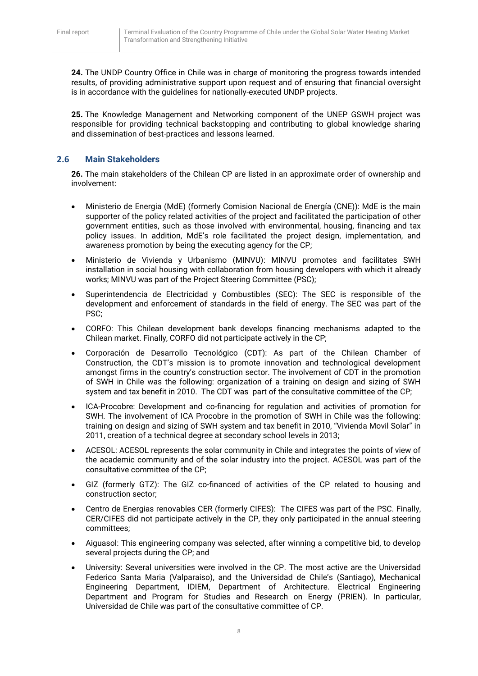**24.** The UNDP Country Office in Chile was in charge of monitoring the progress towards intended results, of providing administrative support upon request and of ensuring that financial oversight is in accordance with the guidelines for nationally-executed UNDP projects.

**25.** The Knowledge Management and Networking component of the UNEP GSWH project was responsible for providing technical backstopping and contributing to global knowledge sharing and dissemination of best-practices and lessons learned.

## <span id="page-8-0"></span>**2.6 Main Stakeholders**

**26.** The main stakeholders of the Chilean CP are listed in an approximate order of ownership and involvement:

- Ministerio de Energia (MdE) (formerly Comision Nacional de Energía (CNE)): MdE is the main supporter of the policy related activities of the project and facilitated the participation of other government entities, such as those involved with environmental, housing, financing and tax policy issues. In addition, MdE's role facilitated the project design, implementation, and awareness promotion by being the executing agency for the CP;
- Ministerio de Vivienda y Urbanismo (MINVU): MINVU promotes and facilitates SWH installation in social housing with collaboration from housing developers with which it already works; MINVU was part of the Project Steering Committee (PSC);
- Superintendencia de Electricidad y Combustibles (SEC): The SEC is responsible of the development and enforcement of standards in the field of energy. The SEC was part of the PSC;
- CORFO: This Chilean development bank develops financing mechanisms adapted to the Chilean market. Finally, CORFO did not participate actively in the CP;
- Corporación de Desarrollo Tecnológico (CDT): As part of the Chilean Chamber of Construction, the CDT's mission is to promote innovation and technological development amongst firms in the country's construction sector. The involvement of CDT in the promotion of SWH in Chile was the following: organization of a training on design and sizing of SWH system and tax benefit in 2010. The CDT was part of the consultative committee of the CP;
- ICA-Procobre: Development and co-financing for regulation and activities of promotion for SWH. The involvement of ICA Procobre in the promotion of SWH in Chile was the following: training on design and sizing of SWH system and tax benefit in 2010, "Vivienda Movil Solar" in 2011, creation of a technical degree at secondary school levels in 2013;
- ACESOL: ACESOL represents the solar community in Chile and integrates the points of view of the academic community and of the solar industry into the project. ACESOL was part of the consultative committee of the CP;
- GIZ (formerly GTZ): The GIZ co-financed of activities of the CP related to housing and construction sector;
- Centro de Energias renovables CER (formerly CIFES): The CIFES was part of the PSC. Finally, CER/CIFES did not participate actively in the CP, they only participated in the annual steering committees;
- Aiguasol: This engineering company was selected, after winning a competitive bid, to develop several projects during the CP; and
- University: Several universities were involved in the CP. The most active are the Universidad Federico Santa Maria (Valparaiso), and the Universidad de Chile's (Santiago), Mechanical Engineering Department, IDIEM, Department of Architecture. Electrical Engineering Department and Program for Studies and Research on Energy (PRIEN). In particular, Universidad de Chile was part of the consultative committee of CP.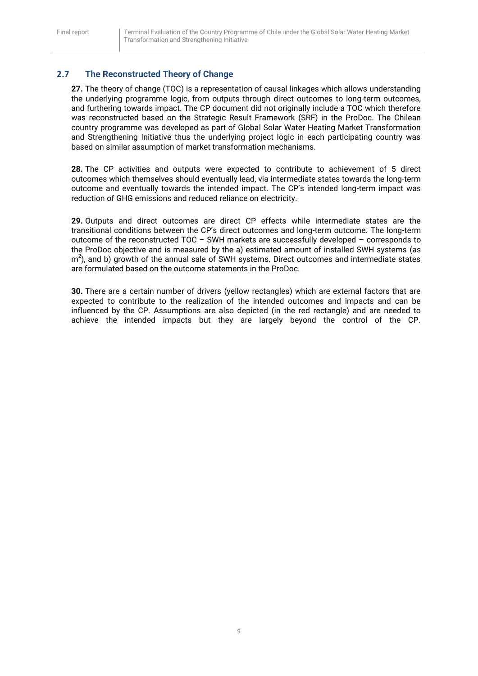## <span id="page-9-0"></span>**2.7 The Reconstructed Theory of Change**

**27.** The theory of change (TOC) is a representation of causal linkages which allows understanding the underlying programme logic, from outputs through direct outcomes to long-term outcomes, and furthering towards impact. The CP document did not originally include a TOC which therefore was reconstructed based on the Strategic Result Framework (SRF) in the ProDoc. The Chilean country programme was developed as part of Global Solar Water Heating Market Transformation and Strengthening Initiative thus the underlying project logic in each participating country was based on similar assumption of market transformation mechanisms.

**28.** The CP activities and outputs were expected to contribute to achievement of 5 direct outcomes which themselves should eventually lead, via intermediate states towards the long-term outcome and eventually towards the intended impact. The CP's intended long-term impact was reduction of GHG emissions and reduced reliance on electricity.

**29.** Outputs and direct outcomes are direct CP effects while intermediate states are the transitional conditions between the CP's direct outcomes and long-term outcome. The long-term outcome of the reconstructed TOC – SWH markets are successfully developed – corresponds to the ProDoc objective and is measured by the a) estimated amount of installed SWH systems (as  $\text{m}^2$ ), and b) growth of the annual sale of SWH systems. Direct outcomes and intermediate states are formulated based on the outcome statements in the ProDoc.

**30.** There are a certain number of drivers (yellow rectangles) which are external factors that are expected to contribute to the realization of the intended outcomes and impacts and can be influenced by the CP. Assumptions are also depicted (in the red rectangle) and are needed to achieve the intended impacts but they are largely beyond the control of the CP.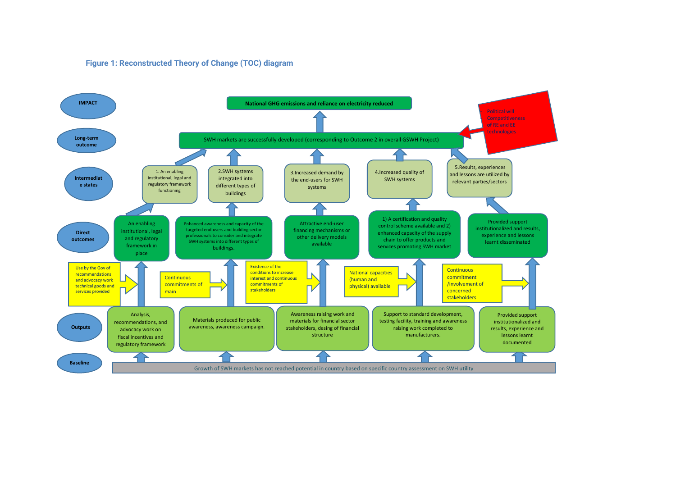#### **Figure 1: Reconstructed Theory of Change (TOC) diagram**

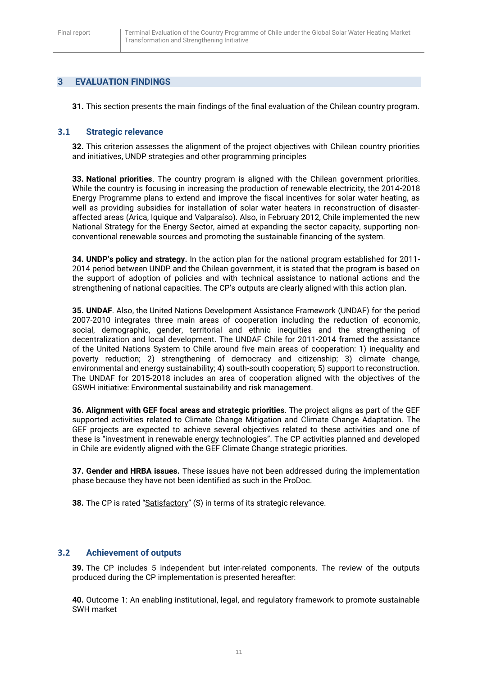## <span id="page-11-0"></span>**3 EVALUATION FINDINGS**

**31.** This section presents the main findings of the final evaluation of the Chilean country program.

#### <span id="page-11-1"></span>**3.1 Strategic relevance**

**32.** This criterion assesses the alignment of the project objectives with Chilean country priorities and initiatives, UNDP strategies and other programming principles

**33. National priorities**. The country program is aligned with the Chilean government priorities. While the country is focusing in increasing the production of renewable electricity, the 2014-2018 Energy Programme plans to extend and improve the fiscal incentives for solar water heating, as well as providing subsidies for installation of solar water heaters in reconstruction of disasteraffected areas (Arica, Iquique and Valparaíso). Also, in February 2012, Chile implemented the new National Strategy for the Energy Sector, aimed at expanding the sector capacity, supporting nonconventional renewable sources and promoting the sustainable financing of the system.

**34. UNDP's policy and strategy.** In the action plan for the national program established for 2011- 2014 period between UNDP and the Chilean government, it is stated that the program is based on the support of adoption of policies and with technical assistance to national actions and the strengthening of national capacities. The CP's outputs are clearly aligned with this action plan.

**35. UNDAF**. Also, the United Nations Development Assistance Framework (UNDAF) for the period 2007-2010 integrates three main areas of cooperation including the reduction of economic, social, demographic, gender, territorial and ethnic inequities and the strengthening of decentralization and local development. The UNDAF Chile for 2011-2014 framed the assistance of the United Nations System to Chile around five main areas of cooperation: 1) inequality and poverty reduction; 2) strengthening of democracy and citizenship; 3) climate change, environmental and energy sustainability; 4) south-south cooperation; 5) support to reconstruction. The UNDAF for 2015-2018 includes an area of cooperation aligned with the objectives of the GSWH initiative: Environmental sustainability and risk management.

**36. Alignment with GEF focal areas and strategic priorities**. The project aligns as part of the GEF supported activities related to Climate Change Mitigation and Climate Change Adaptation. The GEF projects are expected to achieve several objectives related to these activities and one of these is "investment in renewable energy technologies". The CP activities planned and developed in Chile are evidently aligned with the GEF Climate Change strategic priorities.

**37. Gender and HRBA issues.** These issues have not been addressed during the implementation phase because they have not been identified as such in the ProDoc.

**38.** The CP is rated "Satisfactory" (S) in terms of its strategic relevance.

## <span id="page-11-2"></span>**3.2 Achievement of outputs**

**39.** The CP includes 5 independent but inter-related components. The review of the outputs produced during the CP implementation is presented hereafter:

**40.** Outcome 1: An enabling institutional, legal, and regulatory framework to promote sustainable SWH market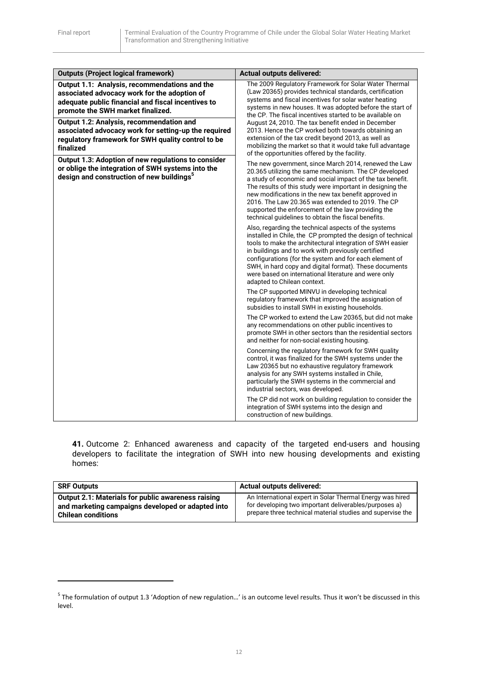**.** 

| <b>Outputs (Project logical framework)</b>                                                                                                                                               | <b>Actual outputs delivered:</b>                                                                                                                                                                                                                                                                                                                                                                                                                                   |
|------------------------------------------------------------------------------------------------------------------------------------------------------------------------------------------|--------------------------------------------------------------------------------------------------------------------------------------------------------------------------------------------------------------------------------------------------------------------------------------------------------------------------------------------------------------------------------------------------------------------------------------------------------------------|
| Output 1.1: Analysis, recommendations and the<br>associated advocacy work for the adoption of<br>adequate public financial and fiscal incentives to<br>promote the SWH market finalized. | The 2009 Regulatory Framework for Solar Water Thermal<br>(Law 20365) provides technical standards, certification<br>systems and fiscal incentives for solar water heating<br>systems in new houses. It was adopted before the start of<br>the CP. The fiscal incentives started to be available on                                                                                                                                                                 |
| Output 1.2: Analysis, recommendation and<br>associated advocacy work for setting-up the required<br>regulatory framework for SWH quality control to be<br>finalized                      | August 24, 2010. The tax benefit ended in December<br>2013. Hence the CP worked both towards obtaining an<br>extension of the tax credit beyond 2013, as well as<br>mobilizing the market so that it would take full advantage<br>of the opportunities offered by the facility.                                                                                                                                                                                    |
| Output 1.3: Adoption of new regulations to consider<br>or oblige the integration of SWH systems into the<br>design and construction of new buildings <sup>5</sup>                        | The new government, since March 2014, renewed the Law<br>20.365 utilizing the same mechanism. The CP developed<br>a study of economic and social impact of the tax benefit.<br>The results of this study were important in designing the<br>new modifications in the new tax benefit approved in<br>2016. The Law 20.365 was extended to 2019. The CP<br>supported the enforcement of the law providing the<br>technical guidelines to obtain the fiscal benefits. |
|                                                                                                                                                                                          | Also, regarding the technical aspects of the systems<br>installed in Chile, the CP prompted the design of technical<br>tools to make the architectural integration of SWH easier<br>in buildings and to work with previously certified<br>configurations (for the system and for each element of<br>SWH, in hard copy and digital format). These documents<br>were based on international literature and were only<br>adapted to Chilean context.                  |
|                                                                                                                                                                                          | The CP supported MINVU in developing technical<br>regulatory framework that improved the assignation of<br>subsidies to install SWH in existing households.                                                                                                                                                                                                                                                                                                        |
|                                                                                                                                                                                          | The CP worked to extend the Law 20365, but did not make<br>any recommendations on other public incentives to<br>promote SWH in other sectors than the residential sectors<br>and neither for non-social existing housing.                                                                                                                                                                                                                                          |
|                                                                                                                                                                                          | Concerning the regulatory framework for SWH quality<br>control, it was finalized for the SWH systems under the<br>Law 20365 but no exhaustive regulatory framework<br>analysis for any SWH systems installed in Chile,<br>particularly the SWH systems in the commercial and<br>industrial sectors, was developed.                                                                                                                                                 |
|                                                                                                                                                                                          | The CP did not work on building regulation to consider the<br>integration of SWH systems into the design and<br>construction of new buildings.                                                                                                                                                                                                                                                                                                                     |

**41.** Outcome 2: Enhanced awareness and capacity of the targeted end-users and housing developers to facilitate the integration of SWH into new housing developments and existing homes:

| <b>SRF Outputs</b>                                        | <b>Actual outputs delivered:</b>                           |
|-----------------------------------------------------------|------------------------------------------------------------|
| <b>Output 2.1: Materials for public awareness raising</b> | An International expert in Solar Thermal Energy was hired  |
| and marketing campaigns developed or adapted into         | for developing two important deliverables/purposes a)      |
| <b>Chilean conditions</b>                                 | prepare three technical material studies and supervise the |

<sup>&</sup>lt;sup>5</sup> The formulation of output 1.3 'Adoption of new regulation...' is an outcome level results. Thus it won't be discussed in this level.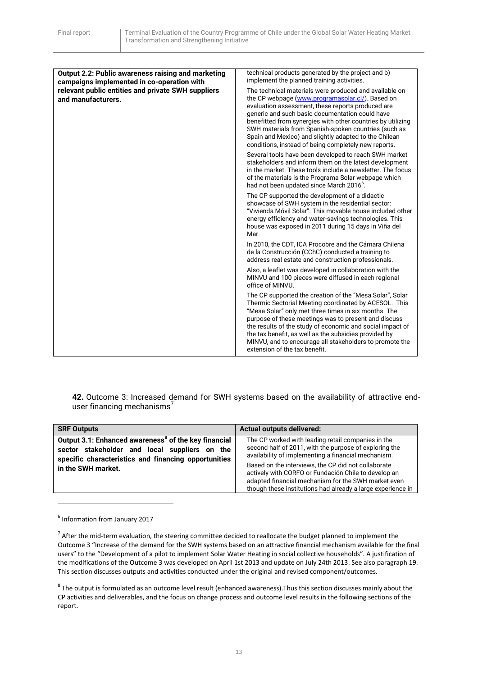| Output 2.2: Public awareness raising and marketing<br>campaigns implemented in co-operation with | technical products generated by the project and b)<br>implement the planned training activities.                                                                                                                                                                                                                                                                                                                                                           |
|--------------------------------------------------------------------------------------------------|------------------------------------------------------------------------------------------------------------------------------------------------------------------------------------------------------------------------------------------------------------------------------------------------------------------------------------------------------------------------------------------------------------------------------------------------------------|
| relevant public entities and private SWH suppliers<br>and manufacturers.                         | The technical materials were produced and available on<br>the CP webpage (www.programasolar.cl/). Based on<br>evaluation assessment, these reports produced are<br>generic and such basic documentation could have<br>benefitted from synergies with other countries by utilizing<br>SWH materials from Spanish-spoken countries (such as<br>Spain and Mexico) and slightly adapted to the Chilean<br>conditions, instead of being completely new reports. |
|                                                                                                  | Several tools have been developed to reach SWH market<br>stakeholders and inform them on the latest development<br>in the market. These tools include a newsletter. The focus<br>of the materials is the Programa Solar webpage which<br>had not been updated since March 2016 <sup>6</sup> .                                                                                                                                                              |
|                                                                                                  | The CP supported the development of a didactic<br>showcase of SWH system in the residential sector:<br>"Vivienda Móvil Solar". This movable house included other<br>energy efficiency and water-savings technologies. This<br>house was exposed in 2011 during 15 days in Viña del<br>Mar.                                                                                                                                                                 |
|                                                                                                  | In 2010, the CDT, ICA Procobre and the Cámara Chilena<br>de la Construcción (CChC) conducted a training to<br>address real estate and construction professionals.                                                                                                                                                                                                                                                                                          |
|                                                                                                  | Also, a leaflet was developed in collaboration with the<br>MINVU and 100 pieces were diffused in each regional<br>office of MINVU.                                                                                                                                                                                                                                                                                                                         |
|                                                                                                  | The CP supported the creation of the "Mesa Solar", Solar<br>Thermic Sectorial Meeting coordinated by ACESOL. This<br>"Mesa Solar" only met three times in six months. The<br>purpose of these meetings was to present and discuss<br>the results of the study of economic and social impact of<br>the tax benefit, as well as the subsidies provided by<br>MINVU, and to encourage all stakeholders to promote the<br>extension of the tax benefit.        |

**42.** Outcome 3: Increased demand for SWH systems based on the availability of attractive enduser financing mechanisms<sup>7</sup>

| <b>SRF Outputs</b>                                                                                                                                                                              | <b>Actual outputs delivered:</b>                                                                                                                                                                                                  |
|-------------------------------------------------------------------------------------------------------------------------------------------------------------------------------------------------|-----------------------------------------------------------------------------------------------------------------------------------------------------------------------------------------------------------------------------------|
| Output 3.1: Enhanced awareness <sup>8</sup> of the key financial<br>sector stakeholder and local suppliers on the<br>specific characteristics and financing opportunities<br>in the SWH market. | The CP worked with leading retail companies in the<br>second half of 2011, with the purpose of exploring the<br>availability of implementing a financial mechanism.                                                               |
|                                                                                                                                                                                                 | Based on the interviews, the CP did not collaborate<br>actively with CORFO or Fundación Chile to develop an<br>adapted financial mechanism for the SWH market even<br>though these institutions had already a large experience in |

<sup>6</sup> Information from January 2017

 $\overline{a}$ 

 $^7$  After the mid-term evaluation, the steering committee decided to reallocate the budget planned to implement the Outcome 3 "Increase of the demand for the SWH systems based on an attractive financial mechanism available for the final users" to the "Development of a pilot to implement Solar Water Heating in social collective households". A justification of the modifications of the Outcome 3 was developed on April 1st 2013 and update on July 24th 2013. See also paragraph 19. This section discusses outputs and activities conducted under the original and revised component/outcomes.

 $^8$  The output is formulated as an outcome level result (enhanced awareness).Thus this section discusses mainly about the CP activities and deliverables, and the focus on change process and outcome level results in the following sections of the report.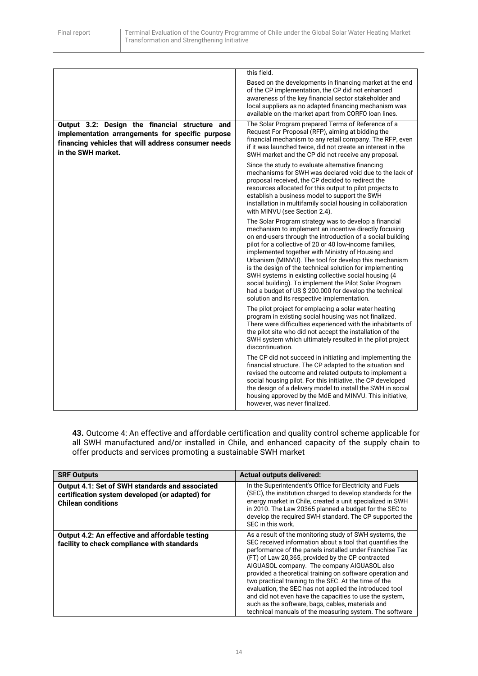|                                                                                                                                                                                 | this field.                                                                                                                                                                                                                                                                                                                                                                                                                                                                                                                                                                                                                                   |
|---------------------------------------------------------------------------------------------------------------------------------------------------------------------------------|-----------------------------------------------------------------------------------------------------------------------------------------------------------------------------------------------------------------------------------------------------------------------------------------------------------------------------------------------------------------------------------------------------------------------------------------------------------------------------------------------------------------------------------------------------------------------------------------------------------------------------------------------|
|                                                                                                                                                                                 | Based on the developments in financing market at the end<br>of the CP implementation, the CP did not enhanced<br>awareness of the key financial sector stakeholder and<br>local suppliers as no adapted financing mechanism was<br>available on the market apart from CORFO loan lines.                                                                                                                                                                                                                                                                                                                                                       |
| Output 3.2: Design the financial structure and<br>implementation arrangements for specific purpose<br>financing vehicles that will address consumer needs<br>in the SWH market. | The Solar Program prepared Terms of Reference of a<br>Request For Proposal (RFP), aiming at bidding the<br>financial mechanism to any retail company. The RFP, even<br>if it was launched twice, did not create an interest in the<br>SWH market and the CP did not receive any proposal.                                                                                                                                                                                                                                                                                                                                                     |
|                                                                                                                                                                                 | Since the study to evaluate alternative financing<br>mechanisms for SWH was declared void due to the lack of<br>proposal received, the CP decided to redirect the<br>resources allocated for this output to pilot projects to<br>establish a business model to support the SWH<br>installation in multifamily social housing in collaboration<br>with MINVU (see Section 2.4).                                                                                                                                                                                                                                                                |
|                                                                                                                                                                                 | The Solar Program strategy was to develop a financial<br>mechanism to implement an incentive directly focusing<br>on end-users through the introduction of a social building<br>pilot for a collective of 20 or 40 low-income families,<br>implemented together with Ministry of Housing and<br>Urbanism (MINVU). The tool for develop this mechanism<br>is the design of the technical solution for implementing<br>SWH systems in existing collective social housing (4<br>social building). To implement the Pilot Solar Program<br>had a budget of US \$ 200.000 for develop the technical<br>solution and its respective implementation. |
|                                                                                                                                                                                 | The pilot project for emplacing a solar water heating<br>program in existing social housing was not finalized.<br>There were difficulties experienced with the inhabitants of<br>the pilot site who did not accept the installation of the<br>SWH system which ultimately resulted in the pilot project<br>discontinuation.                                                                                                                                                                                                                                                                                                                   |
|                                                                                                                                                                                 | The CP did not succeed in initiating and implementing the<br>financial structure. The CP adapted to the situation and<br>revised the outcome and related outputs to implement a<br>social housing pilot. For this initiative, the CP developed<br>the design of a delivery model to install the SWH in social<br>housing approved by the MdE and MINVU. This initiative,<br>however, was never finalized.                                                                                                                                                                                                                                     |

**43.** Outcome 4: An effective and affordable certification and quality control scheme applicable for all SWH manufactured and/or installed in Chile, and enhanced capacity of the supply chain to offer products and services promoting a sustainable SWH market

| <b>SRF Outputs</b>                                                                                                                     | <b>Actual outputs delivered:</b>                                                                                                                                                                                                                                                                                                                                                                                                                                                                                                                                                                                                                |
|----------------------------------------------------------------------------------------------------------------------------------------|-------------------------------------------------------------------------------------------------------------------------------------------------------------------------------------------------------------------------------------------------------------------------------------------------------------------------------------------------------------------------------------------------------------------------------------------------------------------------------------------------------------------------------------------------------------------------------------------------------------------------------------------------|
| <b>Output 4.1: Set of SWH standards and associated</b><br>certification system developed (or adapted) for<br><b>Chilean conditions</b> | In the Superintendent's Office for Electricity and Fuels<br>(SEC), the institution charged to develop standards for the<br>energy market in Chile, created a unit specialized in SWH<br>in 2010. The Law 20365 planned a budget for the SEC to<br>develop the required SWH standard. The CP supported the<br>SEC in this work.                                                                                                                                                                                                                                                                                                                  |
| <b>Output 4.2: An effective and affordable testing</b><br>facility to check compliance with standards                                  | As a result of the monitoring study of SWH systems, the<br>SEC received information about a tool that quantifies the<br>performance of the panels installed under Franchise Tax<br>(FT) of Law 20,365, provided by the CP contracted<br>AIGUASOL company. The company AIGUASOL also<br>provided a theoretical training on software operation and<br>two practical training to the SEC. At the time of the<br>evaluation, the SEC has not applied the introduced tool<br>and did not even have the capacities to use the system.<br>such as the software, bags, cables, materials and<br>technical manuals of the measuring system. The software |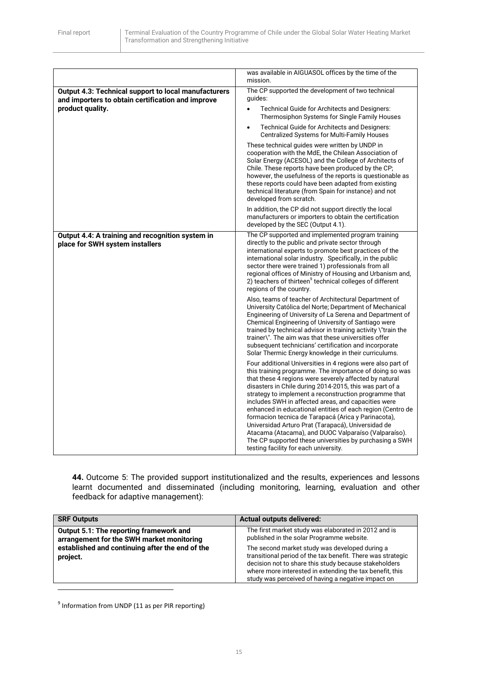|                                                                                                           | was available in AIGUASOL offices by the time of the                                                                                                                                                                                                                                                                                                                                                                                                                                                                                                                                                                                                                                               |
|-----------------------------------------------------------------------------------------------------------|----------------------------------------------------------------------------------------------------------------------------------------------------------------------------------------------------------------------------------------------------------------------------------------------------------------------------------------------------------------------------------------------------------------------------------------------------------------------------------------------------------------------------------------------------------------------------------------------------------------------------------------------------------------------------------------------------|
|                                                                                                           | mission.                                                                                                                                                                                                                                                                                                                                                                                                                                                                                                                                                                                                                                                                                           |
| Output 4.3: Technical support to local manufacturers<br>and importers to obtain certification and improve | The CP supported the development of two technical<br>quides:                                                                                                                                                                                                                                                                                                                                                                                                                                                                                                                                                                                                                                       |
| product quality.                                                                                          | Technical Guide for Architects and Designers:<br>$\bullet$<br>Thermosiphon Systems for Single Family Houses                                                                                                                                                                                                                                                                                                                                                                                                                                                                                                                                                                                        |
|                                                                                                           | Technical Guide for Architects and Designers:<br>$\bullet$<br><b>Centralized Systems for Multi-Family Houses</b>                                                                                                                                                                                                                                                                                                                                                                                                                                                                                                                                                                                   |
|                                                                                                           | These technical guides were written by UNDP in<br>cooperation with the MdE, the Chilean Association of<br>Solar Energy (ACESOL) and the College of Architects of<br>Chile. These reports have been produced by the CP;<br>however, the usefulness of the reports is questionable as<br>these reports could have been adapted from existing<br>technical literature (from Spain for instance) and not<br>developed from scratch.                                                                                                                                                                                                                                                                    |
|                                                                                                           | In addition, the CP did not support directly the local<br>manufacturers or importers to obtain the certification<br>developed by the SEC (Output 4.1).                                                                                                                                                                                                                                                                                                                                                                                                                                                                                                                                             |
| Output 4.4: A training and recognition system in<br>place for SWH system installers                       | The CP supported and implemented program training<br>directly to the public and private sector through<br>international experts to promote best practices of the<br>international solar industry. Specifically, in the public<br>sector there were trained 1) professionals from all<br>regional offices of Ministry of Housing and Urbanism and,<br>2) teachers of thirteen <sup>9</sup> technical colleges of different<br>regions of the country.                                                                                                                                                                                                                                               |
|                                                                                                           | Also, teams of teacher of Architectural Department of<br>University Católica del Norte; Department of Mechanical<br>Engineering of University of La Serena and Department of<br>Chemical Engineering of University of Santiago were<br>trained by technical advisor in training activity \"train the<br>trainer\". The aim was that these universities offer<br>subsequent technicians' certification and incorporate<br>Solar Thermic Energy knowledge in their curriculums.                                                                                                                                                                                                                      |
|                                                                                                           | Four additional Universities in 4 regions were also part of<br>this training programme. The importance of doing so was<br>that these 4 regions were severely affected by natural<br>disasters in Chile during 2014-2015, this was part of a<br>strategy to implement a reconstruction programme that<br>includes SWH in affected areas, and capacities were<br>enhanced in educational entities of each region (Centro de<br>formacion tecnica de Tarapacá (Arica y Parinacota),<br>Universidad Arturo Prat (Tarapacá), Universidad de<br>Atacama (Atacama), and DUOC Valparaíso (Valparaíso).<br>The CP supported these universities by purchasing a SWH<br>testing facility for each university. |

**44.** Outcome 5: The provided support institutionalized and the results, experiences and lessons learnt documented and disseminated (including monitoring, learning, evaluation and other feedback for adaptive management):

| <b>SRF Outputs</b>                                                                                                                                  | <b>Actual outputs delivered:</b>                                                                                                                                                                                                                                                         |
|-----------------------------------------------------------------------------------------------------------------------------------------------------|------------------------------------------------------------------------------------------------------------------------------------------------------------------------------------------------------------------------------------------------------------------------------------------|
| Output 5.1: The reporting framework and<br>arrangement for the SWH market monitoring<br>established and continuing after the end of the<br>project. | The first market study was elaborated in 2012 and is<br>published in the solar Programme website.                                                                                                                                                                                        |
|                                                                                                                                                     | The second market study was developed during a<br>transitional period of the tax benefit. There was strategic<br>decision not to share this study because stakeholders<br>where more interested in extending the tax benefit, this<br>study was perceived of having a negative impact on |
|                                                                                                                                                     |                                                                                                                                                                                                                                                                                          |

 $<sup>9</sup>$  Information from UNDP (11 as per PIR reporting)</sup>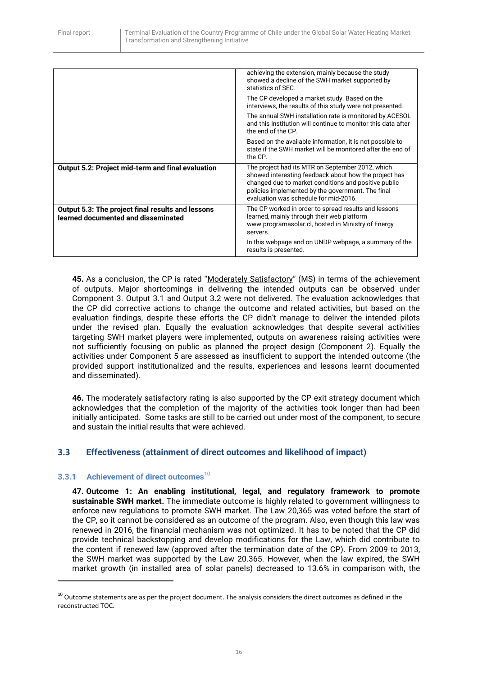|                                                                                                 | achieving the extension, mainly because the study<br>showed a decline of the SWH market supported by<br>statistics of SEC.                                                                                                                                      |
|-------------------------------------------------------------------------------------------------|-----------------------------------------------------------------------------------------------------------------------------------------------------------------------------------------------------------------------------------------------------------------|
|                                                                                                 | The CP developed a market study. Based on the<br>interviews, the results of this study were not presented.                                                                                                                                                      |
|                                                                                                 | The annual SWH installation rate is monitored by ACESOL<br>and this institution will continue to monitor this data after<br>the end of the CP.                                                                                                                  |
|                                                                                                 | Based on the available information, it is not possible to<br>state if the SWH market will be monitored after the end of<br>the CP.                                                                                                                              |
| Output 5.2: Project mid-term and final evaluation                                               | The project had its MTR on September 2012, which<br>showed interesting feedback about how the project has<br>changed due to market conditions and positive public<br>policies implemented by the government. The final<br>evaluation was schedule for mid-2016. |
| <b>Output 5.3: The project final results and lessons</b><br>learned documented and disseminated | The CP worked in order to spread results and lessons<br>learned, mainly through their web platform<br>www.programasolar.cl, hosted in Ministry of Energy<br>servers.                                                                                            |
|                                                                                                 | In this webpage and on UNDP webpage, a summary of the<br>results is presented.                                                                                                                                                                                  |

45. As a conclusion, the CP is rated "Moderately Satisfactory" (MS) in terms of the achievement of outputs. Major shortcomings in delivering the intended outputs can be observed under Component 3. Output 3.1 and Output 3.2 were not delivered. The evaluation acknowledges that the CP did corrective actions to change the outcome and related activities, but based on the evaluation findings, despite these efforts the CP didn't manage to deliver the intended pilots under the revised plan. Equally the evaluation acknowledges that despite several activities targeting SWH market players were implemented, outputs on awareness raising activities were not sufficiently focusing on public as planned the project design (Component 2). Equally the activities under Component 5 are assessed as insufficient to support the intended outcome (the provided support institutionalized and the results, experiences and lessons learnt documented and disseminated).

**46.** The moderately satisfactory rating is also supported by the CP exit strategy document which acknowledges that the completion of the majority of the activities took longer than had been initially anticipated. Some tasks are still to be carried out under most of the component, to secure and sustain the initial results that were achieved.

## <span id="page-16-0"></span>**3.3 Effectiveness (attainment of direct outcomes and likelihood of impact)**

## <span id="page-16-1"></span>**3.3.1 Achievement of direct outcomes**<sup>10</sup>

**.** 

**47. Outcome 1: An enabling institutional, legal, and regulatory framework to promote sustainable SWH market.** The immediate outcome is highly related to government willingness to enforce new regulations to promote SWH market. The Law 20,365 was voted before the start of the CP, so it cannot be considered as an outcome of the program. Also, even though this law was renewed in 2016, the financial mechanism was not optimized. It has to be noted that the CP did provide technical backstopping and develop modifications for the Law, which did contribute to the content if renewed law (approved after the termination date of the CP). From 2009 to 2013, the SWH market was supported by the Law 20.365. However, when the law expired, the SWH market growth (in installed area of solar panels) decreased to 13.6% in comparison with, the

 $10$  Outcome statements are as per the project document. The analysis considers the direct outcomes as defined in the reconstructed TOC.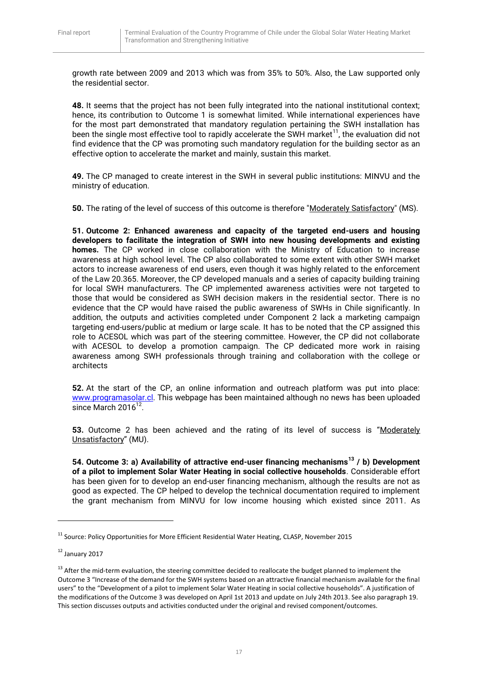growth rate between 2009 and 2013 which was from 35% to 50%. Also, the Law supported only the residential sector.

**48.** It seems that the project has not been fully integrated into the national institutional context; hence, its contribution to Outcome 1 is somewhat limited. While international experiences have for the most part demonstrated that mandatory regulation pertaining the SWH installation has been the single most effective tool to rapidly accelerate the SWH market<sup>11</sup>, the evaluation did not find evidence that the CP was promoting such mandatory regulation for the building sector as an effective option to accelerate the market and mainly, sustain this market.

**49.** The CP managed to create interest in the SWH in several public institutions: MINVU and the ministry of education.

**50.** The rating of the level of success of this outcome is therefore "Moderately Satisfactory" (MS).

**51. Outcome 2: Enhanced awareness and capacity of the targeted end-users and housing developers to facilitate the integration of SWH into new housing developments and existing homes.** The CP worked in close collaboration with the Ministry of Education to increase awareness at high school level. The CP also collaborated to some extent with other SWH market actors to increase awareness of end users, even though it was highly related to the enforcement of the Law 20.365. Moreover, the CP developed manuals and a series of capacity building training for local SWH manufacturers. The CP implemented awareness activities were not targeted to those that would be considered as SWH decision makers in the residential sector. There is no evidence that the CP would have raised the public awareness of SWHs in Chile significantly. In addition, the outputs and activities completed under Component 2 lack a marketing campaign targeting end-users/public at medium or large scale. It has to be noted that the CP assigned this role to ACESOL which was part of the steering committee. However, the CP did not collaborate with ACESOL to develop a promotion campaign. The CP dedicated more work in raising awareness among SWH professionals through training and collaboration with the college or architects

**52.** At the start of the CP, an online information and outreach platform was put into place: [www.programasolar.cl.](http://www.programasolar.cl/) This webpage has been maintained although no news has been uploaded since March 2016<sup>12</sup>.

**53.** Outcome 2 has been achieved and the rating of its level of success is "Moderately Unsatisfactory" (MU).

**54. Outcome 3: a) Availability of attractive end-user financing mechanisms<sup>13</sup> / b) Development of a pilot to implement Solar Water Heating in social collective households**. Considerable effort has been given for to develop an end-user financing mechanism, although the results are not as good as expected. The CP helped to develop the technical documentation required to implement the grant mechanism from MINVU for low income housing which existed since 2011. As

**.** 

<sup>&</sup>lt;sup>11</sup> Source: Policy Opportunities for More Efficient Residential Water Heating, CLASP, November 2015

<sup>12</sup> January 2017

<sup>&</sup>lt;sup>13</sup> After the mid-term evaluation, the steering committee decided to reallocate the budget planned to implement the Outcome 3 "Increase of the demand for the SWH systems based on an attractive financial mechanism available for the final users" to the "Development of a pilot to implement Solar Water Heating in social collective households". A justification of the modifications of the Outcome 3 was developed on April 1st 2013 and update on July 24th 2013. See also paragraph 19. This section discusses outputs and activities conducted under the original and revised component/outcomes.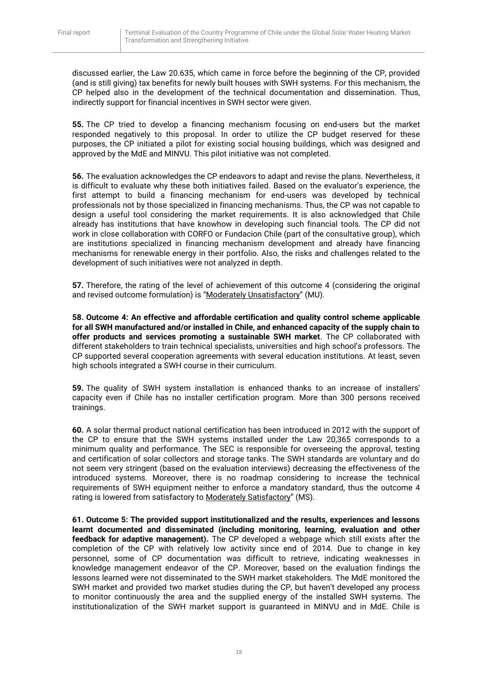discussed earlier, the Law 20.635, which came in force before the beginning of the CP, provided (and is still giving) tax benefits for newly built houses with SWH systems. For this mechanism, the CP helped also in the development of the technical documentation and dissemination. Thus, indirectly support for financial incentives in SWH sector were given.

**55.** The CP tried to develop a financing mechanism focusing on end-users but the market responded negatively to this proposal. In order to utilize the CP budget reserved for these purposes, the CP initiated a pilot for existing social housing buildings, which was designed and approved by the MdE and MINVU. This pilot initiative was not completed.

**56.** The evaluation acknowledges the CP endeavors to adapt and revise the plans. Nevertheless, it is difficult to evaluate why these both initiatives failed. Based on the evaluator's experience, the first attempt to build a financing mechanism for end-users was developed by technical professionals not by those specialized in financing mechanisms. Thus, the CP was not capable to design a useful tool considering the market requirements. It is also acknowledged that Chile already has institutions that have knowhow in developing such financial tools. The CP did not work in close collaboration with CORFO or Fundacion Chile (part of the consultative group), which are institutions specialized in financing mechanism development and already have financing mechanisms for renewable energy in their portfolio. Also, the risks and challenges related to the development of such initiatives were not analyzed in depth.

**57.** Therefore, the rating of the level of achievement of this outcome 4 (considering the original and revised outcome formulation) is "Moderately Unsatisfactory" (MU).

**58. Outcome 4: An effective and affordable certification and quality control scheme applicable for all SWH manufactured and/or installed in Chile, and enhanced capacity of the supply chain to offer products and services promoting a sustainable SWH market**. The CP collaborated with different stakeholders to train technical specialists, universities and high school's professors. The CP supported several cooperation agreements with several education institutions. At least, seven high schools integrated a SWH course in their curriculum.

**59.** The quality of SWH system installation is enhanced thanks to an increase of installers' capacity even if Chile has no installer certification program. More than 300 persons received trainings.

**60.** A solar thermal product national certification has been introduced in 2012 with the support of the CP to ensure that the SWH systems installed under the Law 20,365 corresponds to a minimum quality and performance. The SEC is responsible for overseeing the approval, testing and certification of solar collectors and storage tanks. The SWH standards are voluntary and do not seem very stringent (based on the evaluation interviews) decreasing the effectiveness of the introduced systems. Moreover, there is no roadmap considering to increase the technical requirements of SWH equipment neither to enforce a mandatory standard, thus the outcome 4 rating is lowered from satisfactory to Moderately Satisfactory" (MS).

**61. Outcome 5: The provided support institutionalized and the results, experiences and lessons learnt documented and disseminated (including monitoring, learning, evaluation and other feedback for adaptive management).** The CP developed a webpage which still exists after the completion of the CP with relatively low activity since end of 2014. Due to change in key personnel, some of CP documentation was difficult to retrieve, indicating weaknesses in knowledge management endeavor of the CP. Moreover, based on the evaluation findings the lessons learned were not disseminated to the SWH market stakeholders. The MdE monitored the SWH market and provided two market studies during the CP, but haven't developed any process to monitor continuously the area and the supplied energy of the installed SWH systems. The institutionalization of the SWH market support is guaranteed in MINVU and in MdE. Chile is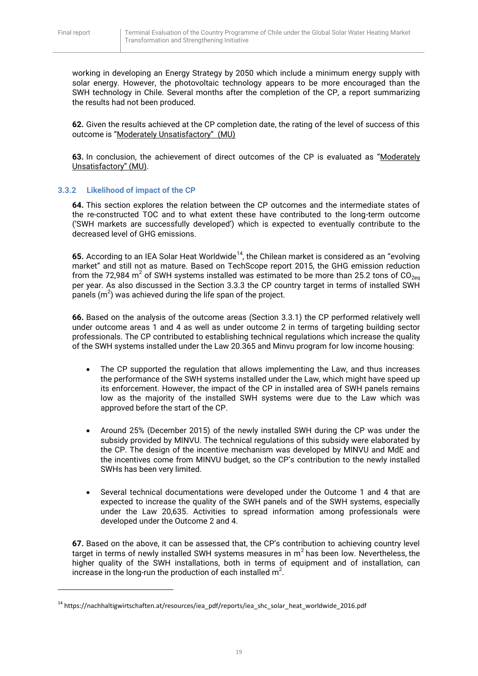1

working in developing an Energy Strategy by 2050 which include a minimum energy supply with solar energy. However, the photovoltaic technology appears to be more encouraged than the SWH technology in Chile. Several months after the completion of the CP, a report summarizing the results had not been produced.

**62.** Given the results achieved at the CP completion date, the rating of the level of success of this outcome is "Moderately Unsatisfactory" (MU)

**63.** In conclusion, the achievement of direct outcomes of the CP is evaluated as "Moderately Unsatisfactory" (MU).

## <span id="page-19-0"></span>**3.3.2 Likelihood of impact of the CP**

**64.** This section explores the relation between the CP outcomes and the intermediate states of the re-constructed TOC and to what extent these have contributed to the long-term outcome ('SWH markets are successfully developed') which is expected to eventually contribute to the decreased level of GHG emissions.

65. According to an IEA Solar Heat Worldwide<sup>14</sup>, the Chilean market is considered as an "evolving market" and still not as mature. Based on TechScope report 2015, the GHG emission reduction from the 72,984 m<sup>2</sup> of SWH systems installed was estimated to be more than 25.2 tons of CO<sub>2eq</sub> per year. As also discussed in the Section 3.3.3 the CP country target in terms of installed SWH panels  $(m^2)$  was achieved during the life span of the project.

**66.** Based on the analysis of the outcome areas (Section 3.3.1) the CP performed relatively well under outcome areas 1 and 4 as well as under outcome 2 in terms of targeting building sector professionals. The CP contributed to establishing technical regulations which increase the quality of the SWH systems installed under the Law 20.365 and Minvu program for low income housing:

- The CP supported the regulation that allows implementing the Law, and thus increases the performance of the SWH systems installed under the Law, which might have speed up its enforcement. However, the impact of the CP in installed area of SWH panels remains low as the majority of the installed SWH systems were due to the Law which was approved before the start of the CP.
- Around 25% (December 2015) of the newly installed SWH during the CP was under the subsidy provided by MINVU. The technical regulations of this subsidy were elaborated by the CP. The design of the incentive mechanism was developed by MINVU and MdE and the incentives come from MINVU budget, so the CP's contribution to the newly installed SWHs has been very limited.
- Several technical documentations were developed under the Outcome 1 and 4 that are expected to increase the quality of the SWH panels and of the SWH systems, especially under the Law 20,635. Activities to spread information among professionals were developed under the Outcome 2 and 4.

**67.** Based on the above, it can be assessed that, the CP's contribution to achieving country level target in terms of newly installed SWH systems measures in m<sup>2</sup> has been low. Nevertheless, the higher quality of the SWH installations, both in terms of equipment and of installation, can increase in the long-run the production of each installed  $m^2$ .

<sup>&</sup>lt;sup>14</sup> https://nachhaltigwirtschaften.at/resources/iea\_pdf/reports/iea\_shc\_solar\_heat\_worldwide\_2016.pdf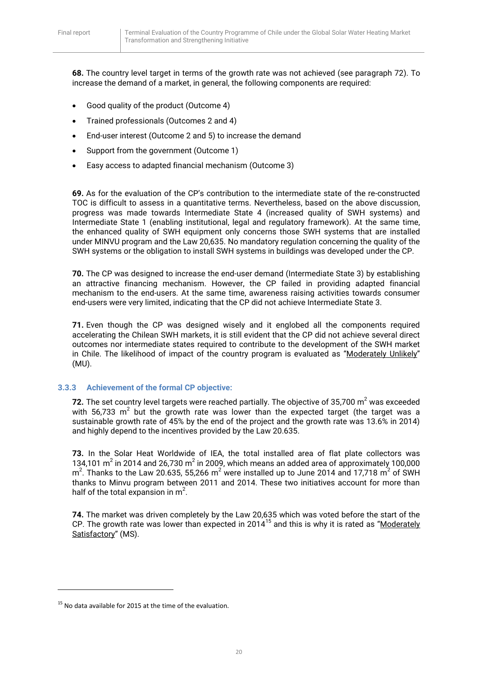**68.** The country level target in terms of the growth rate was not achieved (see paragraph 72). To increase the demand of a market, in general, the following components are required:

- Good quality of the product (Outcome 4)
- Trained professionals (Outcomes 2 and 4)
- End-user interest (Outcome 2 and 5) to increase the demand
- Support from the government (Outcome 1)
- Easy access to adapted financial mechanism (Outcome 3)

**69.** As for the evaluation of the CP's contribution to the intermediate state of the re-constructed TOC is difficult to assess in a quantitative terms. Nevertheless, based on the above discussion, progress was made towards Intermediate State 4 (increased quality of SWH systems) and Intermediate State 1 (enabling institutional, legal and regulatory framework). At the same time, the enhanced quality of SWH equipment only concerns those SWH systems that are installed under MINVU program and the Law 20,635. No mandatory regulation concerning the quality of the SWH systems or the obligation to install SWH systems in buildings was developed under the CP.

**70.** The CP was designed to increase the end-user demand (Intermediate State 3) by establishing an attractive financing mechanism. However, the CP failed in providing adapted financial mechanism to the end-users. At the same time, awareness raising activities towards consumer end-users were very limited, indicating that the CP did not achieve Intermediate State 3.

**71.** Even though the CP was designed wisely and it englobed all the components required accelerating the Chilean SWH markets, it is still evident that the CP did not achieve several direct outcomes nor intermediate states required to contribute to the development of the SWH market in Chile. The likelihood of impact of the country program is evaluated as "Moderately Unlikely" (MU).

## <span id="page-20-0"></span>**3.3.3 Achievement of the formal CP objective:**

**72.** The set country level targets were reached partially. The objective of 35,700  $m^2$  was exceeded with 56,733  $m^2$  but the growth rate was lower than the expected target (the target was a sustainable growth rate of 45% by the end of the project and the growth rate was 13.6% in 2014) and highly depend to the incentives provided by the Law 20.635.

**73.** In the Solar Heat Worldwide of IEA, the total installed area of flat plate collectors was 134,101  $m^2$  in 2014 and 26,730  $m^2$  in 2009, which means an added area of approximately 100,000  $m^2$ . Thanks to the Law 20.635, 55,266  $m^2$  were installed up to June 2014 and 17,718  $m^2$  of SWH thanks to Minvu program between 2011 and 2014. These two initiatives account for more than half of the total expansion in  $m^2$ .

**74.** The market was driven completely by the Law 20,635 which was voted before the start of the CP. The growth rate was lower than expected in 2014<sup>15</sup> and this is why it is rated as "Moderately" Satisfactory" (MS).

1

<sup>&</sup>lt;sup>15</sup> No data available for 2015 at the time of the evaluation.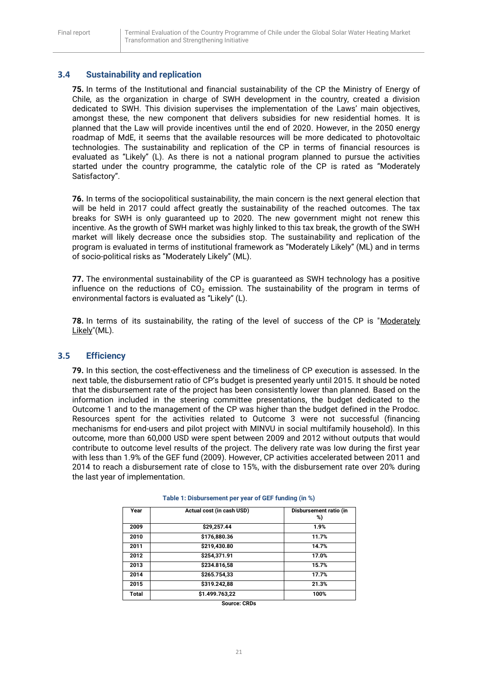## <span id="page-21-0"></span>**3.4 Sustainability and replication**

**75.** In terms of the Institutional and financial sustainability of the CP the Ministry of Energy of Chile, as the organization in charge of SWH development in the country, created a division dedicated to SWH. This division supervises the implementation of the Laws' main objectives, amongst these, the new component that delivers subsidies for new residential homes. It is planned that the Law will provide incentives until the end of 2020. However, in the 2050 energy roadmap of MdE, it seems that the available resources will be more dedicated to photovoltaic technologies. The sustainability and replication of the CP in terms of financial resources is evaluated as "Likely" (L). As there is not a national program planned to pursue the activities started under the country programme, the catalytic role of the CP is rated as "Moderately Satisfactory".

**76.** In terms of the sociopolitical sustainability, the main concern is the next general election that will be held in 2017 could affect greatly the sustainability of the reached outcomes. The tax breaks for SWH is only guaranteed up to 2020. The new government might not renew this incentive. As the growth of SWH market was highly linked to this tax break, the growth of the SWH market will likely decrease once the subsidies stop. The sustainability and replication of the program is evaluated in terms of institutional framework as "Moderately Likely" (ML) and in terms of socio-political risks as "Moderately Likely" (ML).

**77.** The environmental sustainability of the CP is guaranteed as SWH technology has a positive influence on the reductions of  $CO<sub>2</sub>$  emission. The sustainability of the program in terms of environmental factors is evaluated as "Likely" (L).

**78.** In terms of its sustainability, the rating of the level of success of the CP is "Moderately Likely"(ML).

## <span id="page-21-1"></span>**3.5 Efficiency**

**79.** In this section, the cost-effectiveness and the timeliness of CP execution is assessed. In the next table, the disbursement ratio of CP's budget is presented yearly until 2015. It should be noted that the disbursement rate of the project has been consistently lower than planned. Based on the information included in the steering committee presentations, the budget dedicated to the Outcome 1 and to the management of the CP was higher than the budget defined in the Prodoc. Resources spent for the activities related to Outcome 3 were not successful (financing mechanisms for end-users and pilot project with MINVU in social multifamily household). In this outcome, more than 60,000 USD were spent between 2009 and 2012 without outputs that would contribute to outcome level results of the project. The delivery rate was low during the first year with less than 1.9% of the GEF fund (2009). However, CP activities accelerated between 2011 and 2014 to reach a disbursement rate of close to 15%, with the disbursement rate over 20% during the last year of implementation.

| Year  | Actual cost (in cash USD) | Disbursement ratio (in<br>%) |
|-------|---------------------------|------------------------------|
| 2009  | \$29,257.44               | 1.9%                         |
| 2010  | \$176,880.36              | 11.7%                        |
| 2011  | \$219,430.80              | 14.7%                        |
| 2012  | \$254,371.91              | 17.0%                        |
| 2013  | \$234.816,58              | 15.7%                        |
| 2014  | \$265.754,33              | 17.7%                        |
| 2015  | \$319.242,88              | 21.3%                        |
| Total | \$1.499.763,22            | 100%                         |

**Table 1: Disbursement per year of GEF funding (in %)**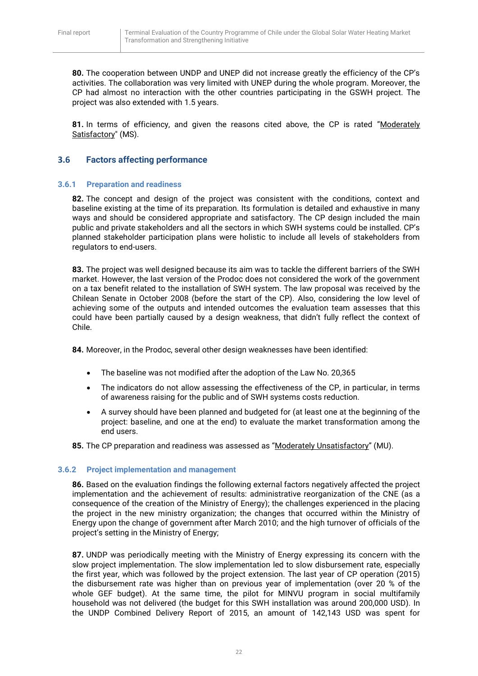**80.** The cooperation between UNDP and UNEP did not increase greatly the efficiency of the CP's activities. The collaboration was very limited with UNEP during the whole program. Moreover, the CP had almost no interaction with the other countries participating in the GSWH project. The project was also extended with 1.5 years.

81. In terms of efficiency, and given the reasons cited above, the CP is rated "Moderately Satisfactory" (MS).

## <span id="page-22-0"></span>**3.6 Factors affecting performance**

#### <span id="page-22-1"></span>**3.6.1 Preparation and readiness**

**82.** The concept and design of the project was consistent with the conditions, context and baseline existing at the time of its preparation. Its formulation is detailed and exhaustive in many ways and should be considered appropriate and satisfactory. The CP design included the main public and private stakeholders and all the sectors in which SWH systems could be installed. CP's planned stakeholder participation plans were holistic to include all levels of stakeholders from regulators to end-users.

**83.** The project was well designed because its aim was to tackle the different barriers of the SWH market. However, the last version of the Prodoc does not considered the work of the government on a tax benefit related to the installation of SWH system. The law proposal was received by the Chilean Senate in October 2008 (before the start of the CP). Also, considering the low level of achieving some of the outputs and intended outcomes the evaluation team assesses that this could have been partially caused by a design weakness, that didn't fully reflect the context of Chile.

**84.** Moreover, in the Prodoc, several other design weaknesses have been identified:

- The baseline was not modified after the adoption of the Law No. 20,365
- The indicators do not allow assessing the effectiveness of the CP, in particular, in terms of awareness raising for the public and of SWH systems costs reduction.
- A survey should have been planned and budgeted for (at least one at the beginning of the project: baseline, and one at the end) to evaluate the market transformation among the end users.
- **85.** The CP preparation and readiness was assessed as "Moderately Unsatisfactory" (MU).

## <span id="page-22-2"></span>**3.6.2 Project implementation and management**

**86.** Based on the evaluation findings the following external factors negatively affected the project implementation and the achievement of results: administrative reorganization of the CNE (as a consequence of the creation of the Ministry of Energy); the challenges experienced in the placing the project in the new ministry organization; the changes that occurred within the Ministry of Energy upon the change of government after March 2010; and the high turnover of officials of the project's setting in the Ministry of Energy;

**87.** UNDP was periodically meeting with the Ministry of Energy expressing its concern with the slow project implementation. The slow implementation led to slow disbursement rate, especially the first year, which was followed by the project extension. The last year of CP operation (2015) the disbursement rate was higher than on previous year of implementation (over 20 % of the whole GEF budget). At the same time, the pilot for MINVU program in social multifamily household was not delivered (the budget for this SWH installation was around 200,000 USD). In the UNDP Combined Delivery Report of 2015, an amount of 142,143 USD was spent for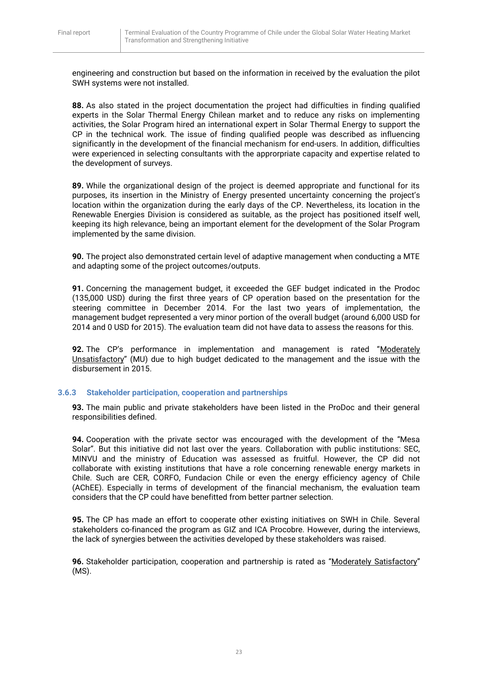engineering and construction but based on the information in received by the evaluation the pilot SWH systems were not installed.

**88.** As also stated in the project documentation the project had difficulties in finding qualified experts in the Solar Thermal Energy Chilean market and to reduce any risks on implementing activities, the Solar Program hired an international expert in Solar Thermal Energy to support the CP in the technical work. The issue of finding qualified people was described as influencing significantly in the development of the financial mechanism for end-users. In addition, difficulties were experienced in selecting consultants with the approrpriate capacity and expertise related to the development of surveys.

**89.** While the organizational design of the project is deemed appropriate and functional for its purposes, its insertion in the Ministry of Energy presented uncertainty concerning the project's location within the organization during the early days of the CP. Nevertheless, its location in the Renewable Energies Division is considered as suitable, as the project has positioned itself well, keeping its high relevance, being an important element for the development of the Solar Program implemented by the same division.

**90.** The project also demonstrated certain level of adaptive management when conducting a MTE and adapting some of the project outcomes/outputs.

**91.** Concerning the management budget, it exceeded the GEF budget indicated in the Prodoc (135,000 USD) during the first three years of CP operation based on the presentation for the steering committee in December 2014. For the last two years of implementation, the management budget represented a very minor portion of the overall budget (around 6,000 USD for 2014 and 0 USD for 2015). The evaluation team did not have data to assess the reasons for this.

**92.** The CP's performance in implementation and management is rated "Moderately Unsatisfactory" (MU) due to high budget dedicated to the management and the issue with the disbursement in 2015.

#### <span id="page-23-0"></span>**3.6.3 Stakeholder participation, cooperation and partnerships**

**93.** The main public and private stakeholders have been listed in the ProDoc and their general responsibilities defined.

**94.** Cooperation with the private sector was encouraged with the development of the "Mesa Solar". But this initiative did not last over the years. Collaboration with public institutions: SEC, MINVU and the ministry of Education was assessed as fruitful. However, the CP did not collaborate with existing institutions that have a role concerning renewable energy markets in Chile. Such are CER, CORFO, Fundacion Chile or even the energy efficiency agency of Chile (AChEE). Especially in terms of development of the financial mechanism, the evaluation team considers that the CP could have benefitted from better partner selection.

**95.** The CP has made an effort to cooperate other existing initiatives on SWH in Chile. Several stakeholders co-financed the program as GIZ and ICA Procobre. However, during the interviews, the lack of synergies between the activities developed by these stakeholders was raised.

**96.** Stakeholder participation, cooperation and partnership is rated as "Moderately Satisfactory" (MS).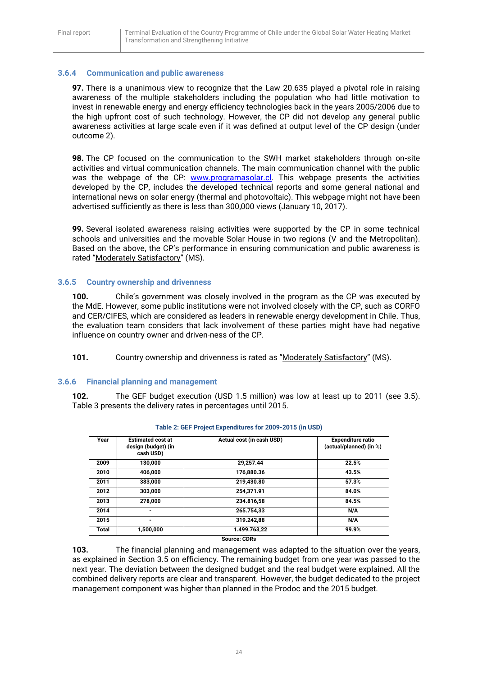## <span id="page-24-0"></span>**3.6.4 Communication and public awareness**

**97.** There is a unanimous view to recognize that the Law 20.635 played a pivotal role in raising awareness of the multiple stakeholders including the population who had little motivation to invest in renewable energy and energy efficiency technologies back in the years 2005/2006 due to the high upfront cost of such technology. However, the CP did not develop any general public awareness activities at large scale even if it was defined at output level of the CP design (under outcome 2).

**98.** The CP focused on the communication to the SWH market stakeholders through on-site activities and virtual communication channels. The main communication channel with the public was the webpage of the CP: [www.programasolar.cl.](http://www.programasolar.cl/) This webpage presents the activities developed by the CP, includes the developed technical reports and some general national and international news on solar energy (thermal and photovoltaic). This webpage might not have been advertised sufficiently as there is less than 300,000 views (January 10, 2017).

**99.** Several isolated awareness raising activities were supported by the CP in some technical schools and universities and the movable Solar House in two regions (V and the Metropolitan). Based on the above, the CP's performance in ensuring communication and public awareness is rated "Moderately Satisfactory" (MS).

#### <span id="page-24-1"></span>**3.6.5 Country ownership and drivenness**

**100.** Chile's government was closely involved in the program as the CP was executed by the MdE. However, some public institutions were not involved closely with the CP, such as CORFO and CER/CIFES, which are considered as leaders in renewable energy development in Chile. Thus, the evaluation team considers that lack involvement of these parties might have had negative influence on country owner and driven-ness of the CP.

**101.** Country ownership and drivenness is rated as "Moderately Satisfactory" (MS).

#### <span id="page-24-2"></span>**3.6.6 Financial planning and management**

**102.** The GEF budget execution (USD 1.5 million) was low at least up to 2011 (see 3.5). Table 3 presents the delivery rates in percentages until 2015.

| Year  | <b>Estimated cost at</b><br>design (budget) (in<br>cash USD) | Actual cost (in cash USD) | <b>Expenditure ratio</b><br>(actual/planned) (in %) |
|-------|--------------------------------------------------------------|---------------------------|-----------------------------------------------------|
| 2009  | 130,000                                                      | 29,257.44                 | 22.5%                                               |
| 2010  | 406.000                                                      | 176,880.36                | 43.5%                                               |
| 2011  | 383.000                                                      | 219,430.80                | 57.3%                                               |
| 2012  | 303.000                                                      | 254.371.91                | 84.0%                                               |
| 2013  | 278.000                                                      | 234.816.58                | 84.5%                                               |
| 2014  | -                                                            | 265.754.33                | N/A                                                 |
| 2015  | ۰                                                            | 319.242,88                | N/A                                                 |
| Total | 1,500,000                                                    | 1.499.763.22              | 99.9%                                               |
|       |                                                              | <b>Source: CDRs</b>       |                                                     |

| Table 2: GEF Project Expenditures for 2009-2015 (in USD) |  |  |  |
|----------------------------------------------------------|--|--|--|
|----------------------------------------------------------|--|--|--|

**103.** The financial planning and management was adapted to the situation over the years, as explained in Section 3.5 on efficiency. The remaining budget from one year was passed to the next year. The deviation between the designed budget and the real budget were explained. All the combined delivery reports are clear and transparent. However, the budget dedicated to the project management component was higher than planned in the Prodoc and the 2015 budget.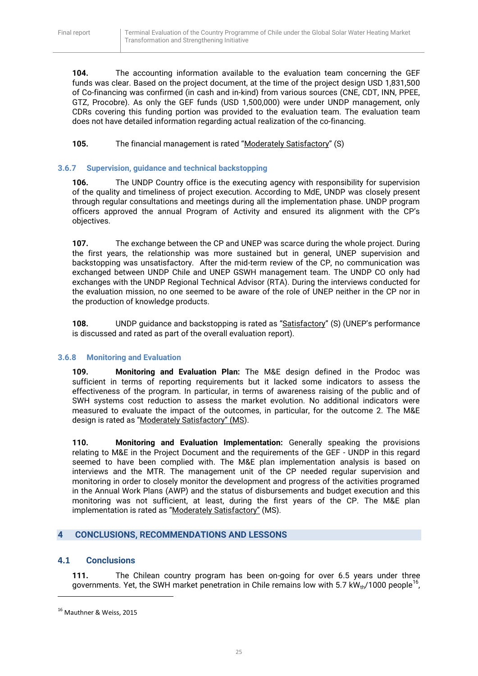**104.** The accounting information available to the evaluation team concerning the GEF funds was clear. Based on the project document, at the time of the project design USD 1,831,500 of Co-financing was confirmed (in cash and in-kind) from various sources (CNE, CDT, INN, PPEE, GTZ, Procobre). As only the GEF funds (USD 1,500,000) were under UNDP management, only CDRs covering this funding portion was provided to the evaluation team. The evaluation team does not have detailed information regarding actual realization of the co-financing.

**105.** The financial management is rated "Moderately Satisfactory" (S)

## <span id="page-25-0"></span>**3.6.7 Supervision, guidance and technical backstopping**

**106.** The UNDP Country office is the executing agency with responsibility for supervision of the quality and timeliness of project execution. According to MdE, UNDP was closely present through regular consultations and meetings during all the implementation phase. UNDP program officers approved the annual Program of Activity and ensured its alignment with the CP's objectives.

**107.** The exchange between the CP and UNEP was scarce during the whole project. During the first years, the relationship was more sustained but in general, UNEP supervision and backstopping was unsatisfactory. After the mid-term review of the CP, no communication was exchanged between UNDP Chile and UNEP GSWH management team. The UNDP CO only had exchanges with the UNDP Regional Technical Advisor (RTA). During the interviews conducted for the evaluation mission, no one seemed to be aware of the role of UNEP neither in the CP nor in the production of knowledge products.

**108.** UNDP guidance and backstopping is rated as "Satisfactory" (S) (UNEP's performance is discussed and rated as part of the overall evaluation report).

## <span id="page-25-1"></span>**3.6.8 Monitoring and Evaluation**

**109. Monitoring and Evaluation Plan:** The M&E design defined in the Prodoc was sufficient in terms of reporting requirements but it lacked some indicators to assess the effectiveness of the program. In particular, in terms of awareness raising of the public and of SWH systems cost reduction to assess the market evolution. No additional indicators were measured to evaluate the impact of the outcomes, in particular, for the outcome 2. The M&E design is rated as "Moderately Satisfactory" (MS).

**110. Monitoring and Evaluation Implementation:** Generally speaking the provisions relating to M&E in the Project Document and the requirements of the GEF - UNDP in this regard seemed to have been complied with. The M&E plan implementation analysis is based on interviews and the MTR. The management unit of the CP needed regular supervision and monitoring in order to closely monitor the development and progress of the activities programed in the Annual Work Plans (AWP) and the status of disbursements and budget execution and this monitoring was not sufficient, at least, during the first years of the CP. The M&E plan implementation is rated as "Moderately Satisfactory" (MS).

## <span id="page-25-2"></span>**4 CONCLUSIONS, RECOMMENDATIONS AND LESSONS**

## <span id="page-25-3"></span>**4.1 Conclusions**

**111.** The Chilean country program has been on-going for over 6.5 years under three governments. Yet, the SWH market penetration in Chile remains low with 5.7  $kW_{th}$ /1000 people<sup>16</sup>,

 $\overline{a}$ 

<sup>&</sup>lt;sup>16</sup> Mauthner & Weiss, 2015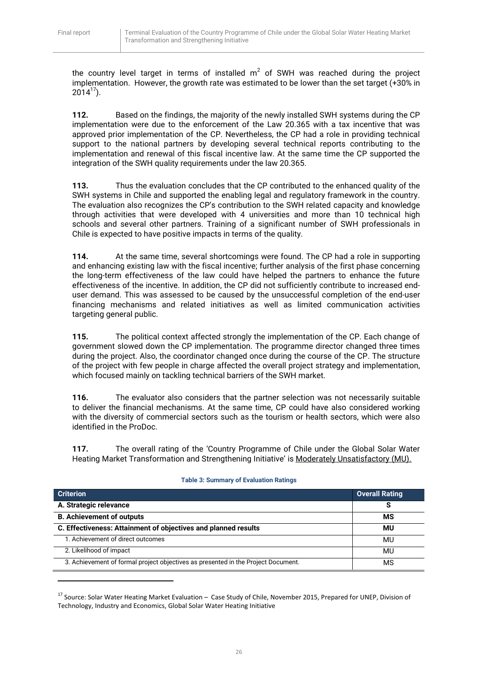**.** 

the country level target in terms of installed  $m^2$  of SWH was reached during the project implementation. However, the growth rate was estimated to be lower than the set target (+30% in  $2014^{17}$ ).

**112.** Based on the findings, the majority of the newly installed SWH systems during the CP implementation were due to the enforcement of the Law 20.365 with a tax incentive that was approved prior implementation of the CP. Nevertheless, the CP had a role in providing technical support to the national partners by developing several technical reports contributing to the implementation and renewal of this fiscal incentive law. At the same time the CP supported the integration of the SWH quality requirements under the law 20.365.

**113.** Thus the evaluation concludes that the CP contributed to the enhanced quality of the SWH systems in Chile and supported the enabling legal and regulatory framework in the country. The evaluation also recognizes the CP's contribution to the SWH related capacity and knowledge through activities that were developed with 4 universities and more than 10 technical high schools and several other partners. Training of a significant number of SWH professionals in Chile is expected to have positive impacts in terms of the quality.

**114.** At the same time, several shortcomings were found. The CP had a role in supporting and enhancing existing law with the fiscal incentive; further analysis of the first phase concerning the long-term effectiveness of the law could have helped the partners to enhance the future effectiveness of the incentive. In addition, the CP did not sufficiently contribute to increased enduser demand. This was assessed to be caused by the unsuccessful completion of the end-user financing mechanisms and related initiatives as well as limited communication activities targeting general public.

**115.** The political context affected strongly the implementation of the CP. Each change of government slowed down the CP implementation. The programme director changed three times during the project. Also, the coordinator changed once during the course of the CP. The structure of the project with few people in charge affected the overall project strategy and implementation, which focused mainly on tackling technical barriers of the SWH market.

**116.** The evaluator also considers that the partner selection was not necessarily suitable to deliver the financial mechanisms. At the same time, CP could have also considered working with the diversity of commercial sectors such as the tourism or health sectors, which were also identified in the ProDoc.

**117.** The overall rating of the 'Country Programme of Chile under the Global Solar Water Heating Market Transformation and Strengthening Initiative' is Moderately Unsatisfactory (MU).

| <b>Criterion</b>                                                                  | <b>Overall Rating</b> |
|-----------------------------------------------------------------------------------|-----------------------|
| A. Strategic relevance                                                            |                       |
| <b>B. Achievement of outputs</b>                                                  | МS                    |
| C. Effectiveness: Attainment of objectives and planned results                    | ΜU                    |
| 1. Achievement of direct outcomes                                                 | MU                    |
| 2. Likelihood of impact                                                           | MU                    |
| 3. Achievement of formal project objectives as presented in the Project Document. | ΜS                    |

#### **Table 3: Summary of Evaluation Ratings**

<sup>&</sup>lt;sup>17</sup> Source: Solar Water Heating Market Evaluation – Case Study of Chile, November 2015, Prepared for UNEP, Division of Technology, Industry and Economics, Global Solar Water Heating Initiative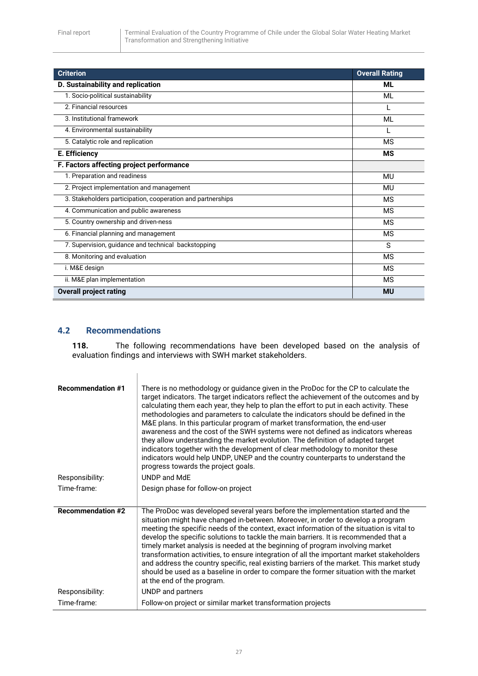| <b>Criterion</b>                                            | <b>Overall Rating</b> |
|-------------------------------------------------------------|-----------------------|
| D. Sustainability and replication                           | <b>ML</b>             |
| 1. Socio-political sustainability                           | ML                    |
| 2. Financial resources                                      |                       |
| 3. Institutional framework                                  | ML                    |
| 4. Environmental sustainability                             |                       |
| 5. Catalytic role and replication                           | <b>MS</b>             |
| E. Efficiency                                               | <b>MS</b>             |
| F. Factors affecting project performance                    |                       |
| 1. Preparation and readiness                                | MU                    |
| 2. Project implementation and management                    | <b>MU</b>             |
| 3. Stakeholders participation, cooperation and partnerships | MS                    |
| 4. Communication and public awareness                       | <b>MS</b>             |
| 5. Country ownership and driven-ness                        | <b>MS</b>             |
| 6. Financial planning and management                        | MS                    |
| 7. Supervision, guidance and technical backstopping         | S                     |
| 8. Monitoring and evaluation                                | <b>MS</b>             |
| i. M&E design                                               | <b>MS</b>             |
| ii. M&E plan implementation                                 | <b>MS</b>             |
| <b>Overall project rating</b>                               | <b>MU</b>             |

## <span id="page-27-0"></span>**4.2 Recommendations**

**118.** The following recommendations have been developed based on the analysis of evaluation findings and interviews with SWH market stakeholders.

| <b>Recommendation #1</b> | There is no methodology or guidance given in the ProDoc for the CP to calculate the<br>target indicators. The target indicators reflect the achievement of the outcomes and by<br>calculating them each year, they help to plan the effort to put in each activity. These<br>methodologies and parameters to calculate the indicators should be defined in the<br>M&E plans. In this particular program of market transformation, the end-user<br>awareness and the cost of the SWH systems were not defined as indicators whereas<br>they allow understanding the market evolution. The definition of adapted target<br>indicators together with the development of clear methodology to monitor these<br>indicators would help UNDP, UNEP and the country counterparts to understand the<br>progress towards the project goals. |
|--------------------------|-----------------------------------------------------------------------------------------------------------------------------------------------------------------------------------------------------------------------------------------------------------------------------------------------------------------------------------------------------------------------------------------------------------------------------------------------------------------------------------------------------------------------------------------------------------------------------------------------------------------------------------------------------------------------------------------------------------------------------------------------------------------------------------------------------------------------------------|
| Responsibility:          | UNDP and MdE                                                                                                                                                                                                                                                                                                                                                                                                                                                                                                                                                                                                                                                                                                                                                                                                                      |
| Time-frame:              | Design phase for follow-on project                                                                                                                                                                                                                                                                                                                                                                                                                                                                                                                                                                                                                                                                                                                                                                                                |
| <b>Recommendation #2</b> | The ProDoc was developed several years before the implementation started and the<br>situation might have changed in-between. Moreover, in order to develop a program<br>meeting the specific needs of the context, exact information of the situation is vital to<br>develop the specific solutions to tackle the main barriers. It is recommended that a<br>timely market analysis is needed at the beginning of program involving market<br>transformation activities, to ensure integration of all the important market stakeholders<br>and address the country specific, real existing barriers of the market. This market study<br>should be used as a baseline in order to compare the former situation with the market<br>at the end of the program.                                                                       |
| Responsibility:          | UNDP and partners                                                                                                                                                                                                                                                                                                                                                                                                                                                                                                                                                                                                                                                                                                                                                                                                                 |
| Time-frame:              | Follow-on project or similar market transformation projects                                                                                                                                                                                                                                                                                                                                                                                                                                                                                                                                                                                                                                                                                                                                                                       |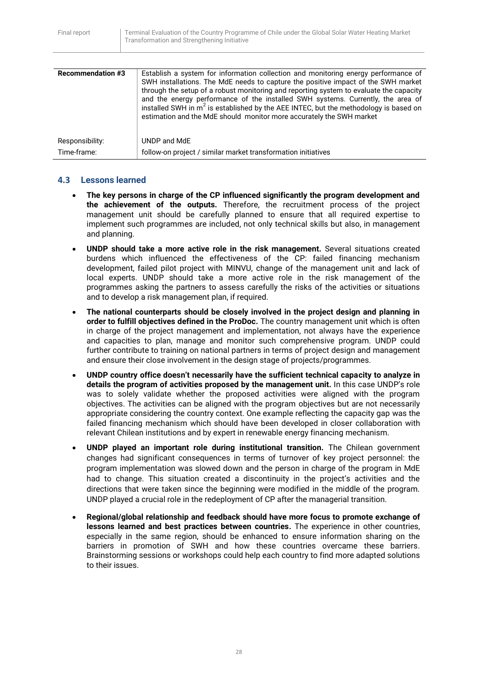| <b>Recommendation #3</b> | Establish a system for information collection and monitoring energy performance of<br>SWH installations. The MdE needs to capture the positive impact of the SWH market<br>through the setup of a robust monitoring and reporting system to evaluate the capacity<br>and the energy performance of the installed SWH systems. Currently, the area of<br>installed SWH in m <sup>2</sup> is established by the AEE INTEC, but the methodology is based on<br>estimation and the MdE should monitor more accurately the SWH market |
|--------------------------|----------------------------------------------------------------------------------------------------------------------------------------------------------------------------------------------------------------------------------------------------------------------------------------------------------------------------------------------------------------------------------------------------------------------------------------------------------------------------------------------------------------------------------|
| Responsibility:          | UNDP and MdE                                                                                                                                                                                                                                                                                                                                                                                                                                                                                                                     |
| Time-frame:              | follow-on project / similar market transformation initiatives                                                                                                                                                                                                                                                                                                                                                                                                                                                                    |

## <span id="page-28-0"></span>**4.3 Lessons learned**

- **The key persons in charge of the CP influenced significantly the program development and the achievement of the outputs.** Therefore, the recruitment process of the project management unit should be carefully planned to ensure that all required expertise to implement such programmes are included, not only technical skills but also, in management and planning.
- **UNDP should take a more active role in the risk management.** Several situations created burdens which influenced the effectiveness of the CP: failed financing mechanism development, failed pilot project with MINVU, change of the management unit and lack of local experts. UNDP should take a more active role in the risk management of the programmes asking the partners to assess carefully the risks of the activities or situations and to develop a risk management plan, if required.
- **The national counterparts should be closely involved in the project design and planning in order to fulfill objectives defined in the ProDoc.** The country management unit which is often in charge of the project management and implementation, not always have the experience and capacities to plan, manage and monitor such comprehensive program. UNDP could further contribute to training on national partners in terms of project design and management and ensure their close involvement in the design stage of projects/programmes.
- **UNDP country office doesn't necessarily have the sufficient technical capacity to analyze in details the program of activities proposed by the management unit.** In this case UNDP's role was to solely validate whether the proposed activities were aligned with the program objectives. The activities can be aligned with the program objectives but are not necessarily appropriate considering the country context. One example reflecting the capacity gap was the failed financing mechanism which should have been developed in closer collaboration with relevant Chilean institutions and by expert in renewable energy financing mechanism.
- **UNDP played an important role during institutional transition.** The Chilean government changes had significant consequences in terms of turnover of key project personnel: the program implementation was slowed down and the person in charge of the program in MdE had to change. This situation created a discontinuity in the project's activities and the directions that were taken since the beginning were modified in the middle of the program. UNDP played a crucial role in the redeployment of CP after the managerial transition.
- **Regional/global relationship and feedback should have more focus to promote exchange of lessons learned and best practices between countries.** The experience in other countries, especially in the same region, should be enhanced to ensure information sharing on the barriers in promotion of SWH and how these countries overcame these barriers. Brainstorming sessions or workshops could help each country to find more adapted solutions to their issues.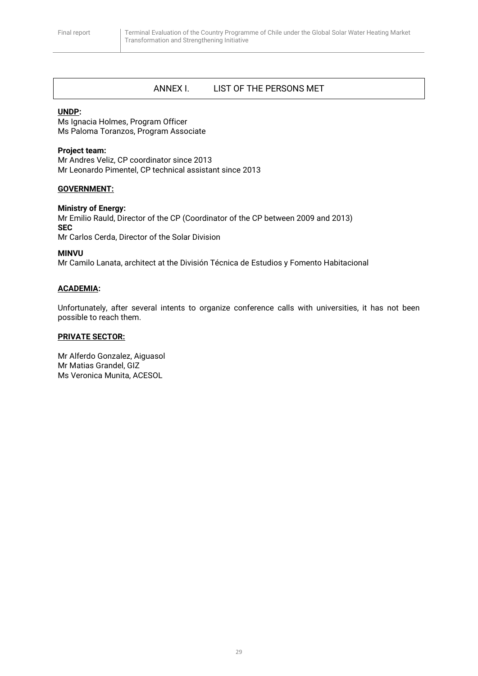## <span id="page-29-0"></span>ANNEX I. LIST OF THE PERSONS MET

#### **UNDP:**

Ms Ignacia Holmes, Program Officer Ms Paloma Toranzos, Program Associate

#### **Project team:**

Mr Andres Veliz, CP coordinator since 2013 Mr Leonardo Pimentel, CP technical assistant since 2013

#### **GOVERNMENT:**

#### **Ministry of Energy:**

Mr Emilio Rauld, Director of the CP (Coordinator of the CP between 2009 and 2013) **SEC** Mr Carlos Cerda, Director of the Solar Division

#### **MINVU**

Mr Camilo Lanata, architect at the División Técnica de Estudios y Fomento Habitacional

#### **ACADEMIA:**

Unfortunately, after several intents to organize conference calls with universities, it has not been possible to reach them.

#### **PRIVATE SECTOR:**

Mr Alferdo Gonzalez, Aiguasol Mr Matias Grandel, GIZ Ms Veronica Munita, ACESOL